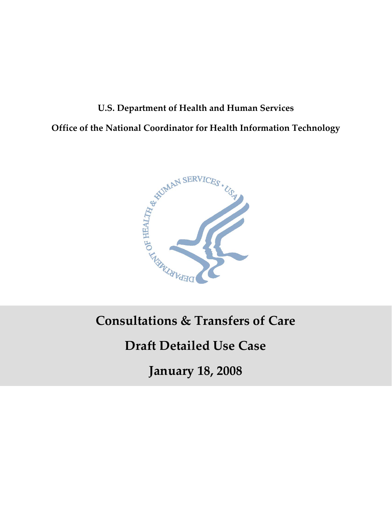# **U.S. Department of Health and Human Services Office of the National Coordinator for Health Information Technology**



# **Consultations & Transfers of Care**

# **Draft Detailed Use Case**

**January 18, 2008**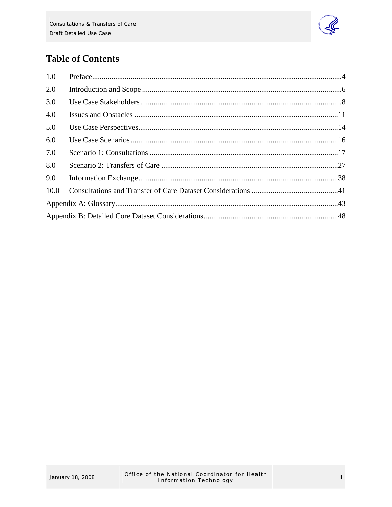

# **Table of Contents**

| 1.0  |  |  |  |  |
|------|--|--|--|--|
| 2.0  |  |  |  |  |
| 3.0  |  |  |  |  |
| 4.0  |  |  |  |  |
| 5.0  |  |  |  |  |
| 6.0  |  |  |  |  |
| 7.0  |  |  |  |  |
| 8.0  |  |  |  |  |
| 9.0  |  |  |  |  |
| 10.0 |  |  |  |  |
|      |  |  |  |  |
|      |  |  |  |  |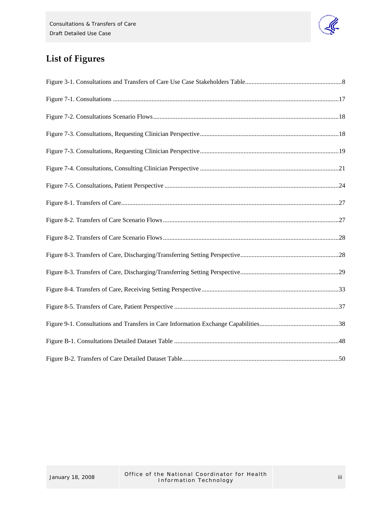

# **List of Figures**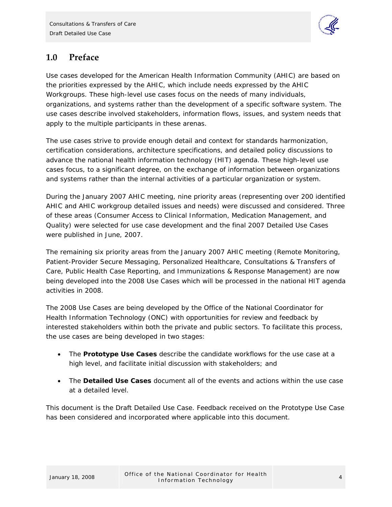

# <span id="page-3-0"></span>**1.0 Preface**

Use cases developed for the American Health Information Community (AHIC) are based on the priorities expressed by the AHIC, which include needs expressed by the AHIC Workgroups. These high-level use cases focus on the needs of many individuals, organizations, and systems rather than the development of a specific software system. The use cases describe involved stakeholders, information flows, issues, and system needs that apply to the multiple participants in these arenas.

The use cases strive to provide enough detail and context for standards harmonization, certification considerations, architecture specifications, and detailed policy discussions to advance the national health information technology (HIT) agenda. These high-level use cases focus, to a significant degree, on the exchange of information between organizations and systems rather than the internal activities of a particular organization or system.

During the January 2007 AHIC meeting, nine priority areas (representing over 200 identified AHIC and AHIC workgroup detailed issues and needs) were discussed and considered. Three of these areas (Consumer Access to Clinical Information, Medication Management, and Quality) were selected for use case development and the final 2007 Detailed Use Cases were published in June, 2007.

The remaining six priority areas from the January 2007 AHIC meeting (Remote Monitoring, Patient-Provider Secure Messaging, Personalized Healthcare, Consultations & Transfers of Care, Public Health Case Reporting, and Immunizations & Response Management) are now being developed into the 2008 Use Cases which will be processed in the national HIT agenda activities in 2008.

The 2008 Use Cases are being developed by the Office of the National Coordinator for Health Information Technology (ONC) with opportunities for review and feedback by interested stakeholders within both the private and public sectors. To facilitate this process, the use cases are being developed in two stages:

- The **Prototype Use Cases** describe the candidate workflows for the use case at a high level, and facilitate initial discussion with stakeholders; and
- The **Detailed Use Cases** document all of the events and actions within the use case at a detailed level.

This document is the Draft Detailed Use Case. Feedback received on the Prototype Use Case has been considered and incorporated where applicable into this document.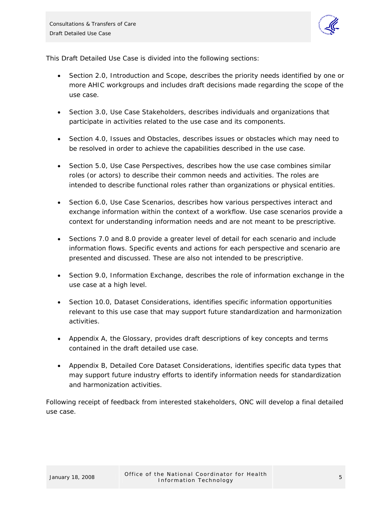

This Draft Detailed Use Case is divided into the following sections:

- Section 2.0, Introduction and Scope, describes the priority needs identified by one or more AHIC workgroups and includes draft decisions made regarding the scope of the use case.
- Section 3.0, Use Case Stakeholders, describes individuals and organizations that participate in activities related to the use case and its components.
- Section 4.0, Issues and Obstacles, describes issues or obstacles which may need to be resolved in order to achieve the capabilities described in the use case.
- Section 5.0, Use Case Perspectives, describes how the use case combines similar roles (or actors) to describe their common needs and activities. The roles are intended to describe functional roles rather than organizations or physical entities.
- Section 6.0, Use Case Scenarios, describes how various perspectives interact and exchange information within the context of a workflow. Use case scenarios provide a context for understanding information needs and are not meant to be prescriptive.
- Sections 7.0 and 8.0 provide a greater level of detail for each scenario and include information flows. Specific events and actions for each perspective and scenario are presented and discussed. These are also not intended to be prescriptive.
- Section 9.0, Information Exchange, describes the role of information exchange in the use case at a high level.
- Section 10.0, Dataset Considerations, identifies specific information opportunities relevant to this use case that may support future standardization and harmonization activities.
- Appendix A, the Glossary, provides draft descriptions of key concepts and terms contained in the draft detailed use case.
- Appendix B, Detailed Core Dataset Considerations, identifies specific data types that may support future industry efforts to identify information needs for standardization and harmonization activities.

Following receipt of feedback from interested stakeholders, ONC will develop a final detailed use case.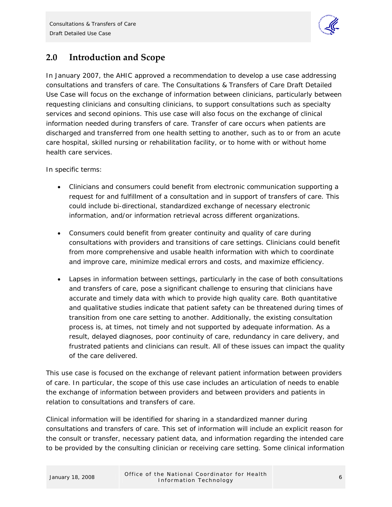

# <span id="page-5-0"></span>**2.0 Introduction and Scope**

In January 2007, the AHIC approved a recommendation to develop a use case addressing consultations and transfers of care. The Consultations & Transfers of Care Draft Detailed Use Case will focus on the exchange of information between clinicians, particularly between requesting clinicians and consulting clinicians, to support consultations such as specialty services and second opinions. This use case will also focus on the exchange of clinical information needed during transfers of care. Transfer of care occurs when patients are discharged and transferred from one health setting to another, such as to or from an acute care hospital, skilled nursing or rehabilitation facility, or to home with or without home health care services.

In specific terms:

- Clinicians and consumers could benefit from electronic communication supporting a request for and fulfillment of a consultation and in support of transfers of care. This could include bi-directional, standardized exchange of necessary electronic information, and/or information retrieval across different organizations.
- Consumers could benefit from greater continuity and quality of care during consultations with providers and transitions of care settings. Clinicians could benefit from more comprehensive and usable health information with which to coordinate and improve care, minimize medical errors and costs, and maximize efficiency.
- Lapses in information between settings, particularly in the case of both consultations and transfers of care, pose a significant challenge to ensuring that clinicians have accurate and timely data with which to provide high quality care. Both quantitative and qualitative studies indicate that patient safety can be threatened during times of transition from one care setting to another. Additionally, the existing consultation process is, at times, not timely and not supported by adequate information. As a result, delayed diagnoses, poor continuity of care, redundancy in care delivery, and frustrated patients and clinicians can result. All of these issues can impact the quality of the care delivered.

This use case is focused on the exchange of relevant patient information between providers of care. In particular, the scope of this use case includes an articulation of needs to enable the exchange of information between providers and between providers and patients in relation to consultations and transfers of care.

Clinical information will be identified for sharing in a standardized manner during consultations and transfers of care. This set of information will include an explicit reason for the consult or transfer, necessary patient data, and information regarding the intended care to be provided by the consulting clinician or receiving care setting. Some clinical information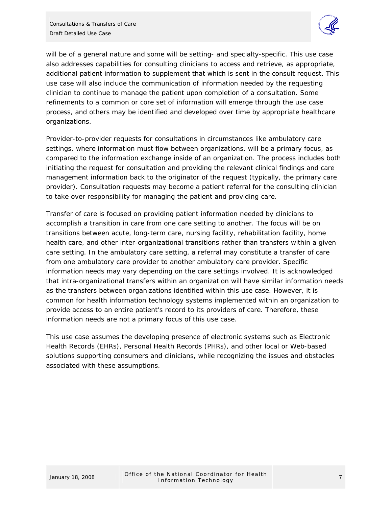

will be of a general nature and some will be setting- and specialty-specific. This use case also addresses capabilities for consulting clinicians to access and retrieve, as appropriate, additional patient information to supplement that which is sent in the consult request. This use case will also include the communication of information needed by the requesting clinician to continue to manage the patient upon completion of a consultation. Some refinements to a common or core set of information will emerge through the use case process, and others may be identified and developed over time by appropriate healthcare organizations.

Provider-to-provider requests for consultations in circumstances like ambulatory care settings, where information must flow between organizations, will be a primary focus, as compared to the information exchange inside of an organization. The process includes both initiating the request for consultation and providing the relevant clinical findings and care management information back to the originator of the request (typically, the primary care provider). Consultation requests may become a patient referral for the consulting clinician to take over responsibility for managing the patient and providing care.

Transfer of care is focused on providing patient information needed by clinicians to accomplish a transition in care from one care setting to another. The focus will be on transitions between acute, long-term care, nursing facility, rehabilitation facility, home health care, and other inter-organizational transitions rather than transfers within a given care setting. In the ambulatory care setting, a referral may constitute a transfer of care from one ambulatory care provider to another ambulatory care provider. Specific information needs may vary depending on the care settings involved. It is acknowledged that intra-organizational transfers within an organization will have similar information needs as the transfers between organizations identified within this use case. However, it is common for health information technology systems implemented within an organization to provide access to an entire patient's record to its providers of care. Therefore, these information needs are not a primary focus of this use case.

This use case assumes the developing presence of electronic systems such as Electronic Health Records (EHRs), Personal Health Records (PHRs), and other local or Web-based solutions supporting consumers and clinicians, while recognizing the issues and obstacles associated with these assumptions.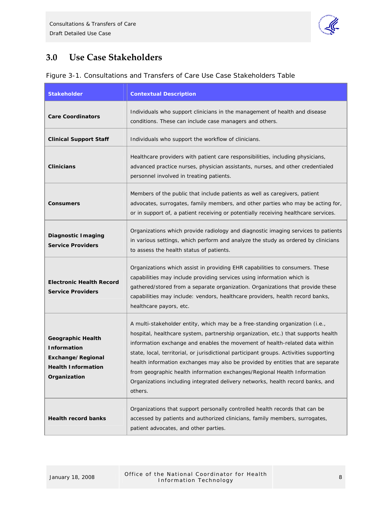

# <span id="page-7-0"></span>**3.0 Use Case Stakeholders**

|  | Figure 3-1. Consultations and Transfers of Care Use Case Stakeholders Table |  |  |  |  |
|--|-----------------------------------------------------------------------------|--|--|--|--|
|  |                                                                             |  |  |  |  |

| <b>Stakeholder</b>                                                                                               | <b>Contextual Description</b>                                                                                                                                                                                                                                                                                                                                                                                                                                                                                                                                                                          |
|------------------------------------------------------------------------------------------------------------------|--------------------------------------------------------------------------------------------------------------------------------------------------------------------------------------------------------------------------------------------------------------------------------------------------------------------------------------------------------------------------------------------------------------------------------------------------------------------------------------------------------------------------------------------------------------------------------------------------------|
| <b>Care Coordinators</b>                                                                                         | Individuals who support clinicians in the management of health and disease<br>conditions. These can include case managers and others.                                                                                                                                                                                                                                                                                                                                                                                                                                                                  |
| <b>Clinical Support Staff</b>                                                                                    | Individuals who support the workflow of clinicians.                                                                                                                                                                                                                                                                                                                                                                                                                                                                                                                                                    |
| <b>Clinicians</b>                                                                                                | Healthcare providers with patient care responsibilities, including physicians,<br>advanced practice nurses, physician assistants, nurses, and other credentialed<br>personnel involved in treating patients.                                                                                                                                                                                                                                                                                                                                                                                           |
| <b>Consumers</b>                                                                                                 | Members of the public that include patients as well as caregivers, patient<br>advocates, surrogates, family members, and other parties who may be acting for,<br>or in support of, a patient receiving or potentially receiving healthcare services.                                                                                                                                                                                                                                                                                                                                                   |
| Diagnostic I maging<br><b>Service Providers</b>                                                                  | Organizations which provide radiology and diagnostic imaging services to patients<br>in various settings, which perform and analyze the study as ordered by clinicians<br>to assess the health status of patients.                                                                                                                                                                                                                                                                                                                                                                                     |
| <b>Electronic Health Record</b><br><b>Service Providers</b>                                                      | Organizations which assist in providing EHR capabilities to consumers. These<br>capabilities may include providing services using information which is<br>gathered/stored from a separate organization. Organizations that provide these<br>capabilities may include: vendors, healthcare providers, health record banks,<br>healthcare payors, etc.                                                                                                                                                                                                                                                   |
| <b>Geographic Health</b><br><b>Information</b><br>Exchange/Regional<br><b>Health Information</b><br>Organization | A multi-stakeholder entity, which may be a free-standing organization (i.e.,<br>hospital, healthcare system, partnership organization, etc.) that supports health<br>information exchange and enables the movement of health-related data within<br>state, local, territorial, or jurisdictional participant groups. Activities supporting<br>health information exchanges may also be provided by entities that are separate<br>from geographic health information exchanges/Regional Health Information<br>Organizations including integrated delivery networks, health record banks, and<br>others. |
| <b>Health record banks</b>                                                                                       | Organizations that support personally controlled health records that can be<br>accessed by patients and authorized clinicians, family members, surrogates,<br>patient advocates, and other parties.                                                                                                                                                                                                                                                                                                                                                                                                    |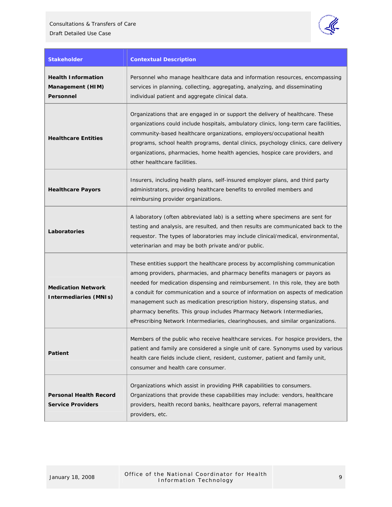

| <b>Stakeholder</b>                                         | <b>Contextual Description</b>                                                                                                                                                                                                                                                                                                                                                                                                                                                                                                                                               |
|------------------------------------------------------------|-----------------------------------------------------------------------------------------------------------------------------------------------------------------------------------------------------------------------------------------------------------------------------------------------------------------------------------------------------------------------------------------------------------------------------------------------------------------------------------------------------------------------------------------------------------------------------|
| <b>Health Information</b><br>Management (HIM)<br>Personnel | Personnel who manage healthcare data and information resources, encompassing<br>services in planning, collecting, aggregating, analyzing, and disseminating<br>individual patient and aggregate clinical data.                                                                                                                                                                                                                                                                                                                                                              |
| <b>Healthcare Entities</b>                                 | Organizations that are engaged in or support the delivery of healthcare. These<br>organizations could include hospitals, ambulatory clinics, long-term care facilities,<br>community-based healthcare organizations, employers/occupational health<br>programs, school health programs, dental clinics, psychology clinics, care delivery<br>organizations, pharmacies, home health agencies, hospice care providers, and<br>other healthcare facilities.                                                                                                                   |
| <b>Healthcare Payors</b>                                   | Insurers, including health plans, self-insured employer plans, and third party<br>administrators, providing healthcare benefits to enrolled members and<br>reimbursing provider organizations.                                                                                                                                                                                                                                                                                                                                                                              |
| Laboratories                                               | A laboratory (often abbreviated lab) is a setting where specimens are sent for<br>testing and analysis, are resulted, and then results are communicated back to the<br>requestor. The types of laboratories may include clinical/medical, environmental,<br>veterinarian and may be both private and/or public.                                                                                                                                                                                                                                                             |
| <b>Medication Network</b><br><b>Intermediaries (MNIs)</b>  | These entities support the healthcare process by accomplishing communication<br>among providers, pharmacies, and pharmacy benefits managers or payors as<br>needed for medication dispensing and reimbursement. In this role, they are both<br>a conduit for communication and a source of information on aspects of medication<br>management such as medication prescription history, dispensing status, and<br>pharmacy benefits. This group includes Pharmacy Network Intermediaries,<br>ePrescribing Network Intermediaries, clearinghouses, and similar organizations. |
| Patient                                                    | Members of the public who receive healthcare services. For hospice providers, the<br>patient and family are considered a single unit of care. Synonyms used by various<br>health care fields include client, resident, customer, patient and family unit,<br>consumer and health care consumer.                                                                                                                                                                                                                                                                             |
| <b>Personal Health Record</b><br><b>Service Providers</b>  | Organizations which assist in providing PHR capabilities to consumers.<br>Organizations that provide these capabilities may include: vendors, healthcare<br>providers, health record banks, healthcare payors, referral management<br>providers, etc.                                                                                                                                                                                                                                                                                                                       |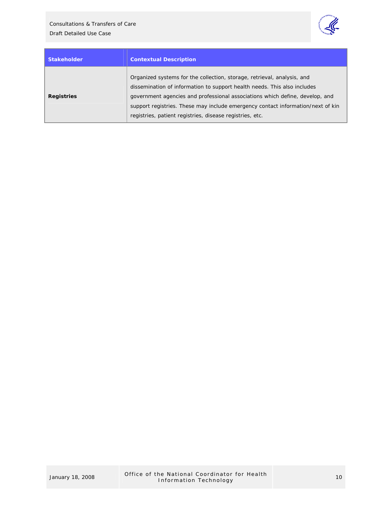

| <b>Stakeholder</b> | <b>Contextual Description</b>                                                                                                                                                                                                                                                                                                                                                      |
|--------------------|------------------------------------------------------------------------------------------------------------------------------------------------------------------------------------------------------------------------------------------------------------------------------------------------------------------------------------------------------------------------------------|
| <b>Registries</b>  | Organized systems for the collection, storage, retrieval, analysis, and<br>dissemination of information to support health needs. This also includes<br>government agencies and professional associations which define, develop, and<br>support registries. These may include emergency contact information/next of kin<br>registries, patient registries, disease registries, etc. |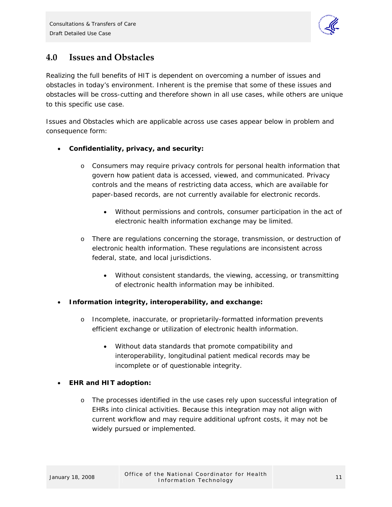

# <span id="page-10-0"></span>**4.0 Issues and Obstacles**

Realizing the full benefits of HIT is dependent on overcoming a number of issues and obstacles in today's environment. Inherent is the premise that some of these issues and obstacles will be cross-cutting and therefore shown in all use cases, while others are unique to this specific use case.

Issues and Obstacles which are applicable across use cases appear below in problem and consequence form:

- **Confidentiality, privacy, and security:** 
	- o Consumers may require privacy controls for personal health information that govern how patient data is accessed, viewed, and communicated. Privacy controls and the means of restricting data access, which are available for paper-based records, are not currently available for electronic records.
		- Without permissions and controls, consumer participation in the act of electronic health information exchange may be limited.
	- o There are regulations concerning the storage, transmission, or destruction of electronic health information. These regulations are inconsistent across federal, state, and local jurisdictions.
		- Without consistent standards, the viewing, accessing, or transmitting of electronic health information may be inhibited.
- **Information integrity, interoperability, and exchange:** 
	- o Incomplete, inaccurate, or proprietarily-formatted information prevents efficient exchange or utilization of electronic health information.
		- Without data standards that promote compatibility and interoperability, longitudinal patient medical records may be incomplete or of questionable integrity.

## • **EHR and HIT adoption:**

o The processes identified in the use cases rely upon successful integration of EHRs into clinical activities. Because this integration may not align with current workflow and may require additional upfront costs, it may not be widely pursued or implemented.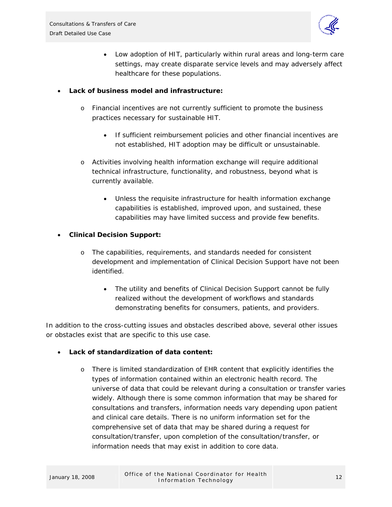

• Low adoption of HIT, particularly within rural areas and long-term care settings, may create disparate service levels and may adversely affect healthcare for these populations.

### • **Lack of business model and infrastructure:**

- o Financial incentives are not currently sufficient to promote the business practices necessary for sustainable HIT.
	- If sufficient reimbursement policies and other financial incentives are not established, HIT adoption may be difficult or unsustainable.
- o Activities involving health information exchange will require additional technical infrastructure, functionality, and robustness, beyond what is currently available.
	- Unless the requisite infrastructure for health information exchange capabilities is established, improved upon, and sustained, these capabilities may have limited success and provide few benefits.

### • **Clinical Decision Support:**

- o The capabilities, requirements, and standards needed for consistent development and implementation of Clinical Decision Support have not been identified.
	- The utility and benefits of Clinical Decision Support cannot be fully realized without the development of workflows and standards demonstrating benefits for consumers, patients, and providers.

In addition to the cross-cutting issues and obstacles described above, several other issues or obstacles exist that are specific to this use case.

## • **Lack of standardization of data content:**

o There is limited standardization of EHR content that explicitly identifies the types of information contained within an electronic health record. The universe of data that could be relevant during a consultation or transfer varies widely. Although there is some common information that may be shared for consultations and transfers, information needs vary depending upon patient and clinical care details. There is no uniform information set for the comprehensive set of data that may be shared during a request for consultation/transfer, upon completion of the consultation/transfer, or information needs that may exist in addition to core data.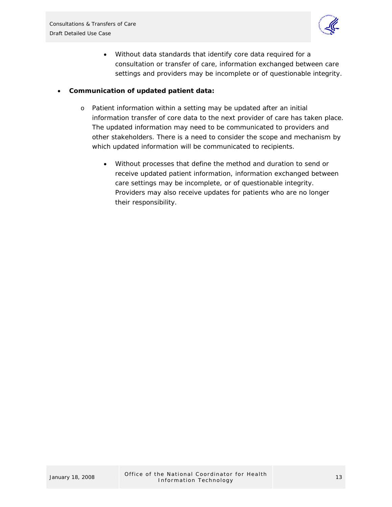

• Without data standards that identify core data required for a consultation or transfer of care, information exchanged between care settings and providers may be incomplete or of questionable integrity.

### • **Communication of updated patient data:**

- o Patient information within a setting may be updated after an initial information transfer of core data to the next provider of care has taken place. The updated information may need to be communicated to providers and other stakeholders. There is a need to consider the scope and mechanism by which updated information will be communicated to recipients.
	- Without processes that define the method and duration to send or receive updated patient information, information exchanged between care settings may be incomplete, or of questionable integrity. Providers may also receive updates for patients who are no longer their responsibility.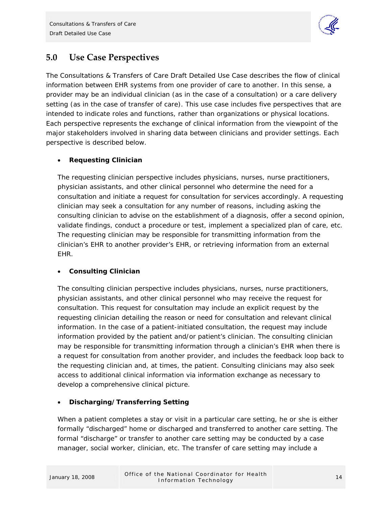

# <span id="page-13-0"></span>**5.0 Use Case Perspectives**

The Consultations & Transfers of Care Draft Detailed Use Case describes the flow of clinical information between EHR systems from one provider of care to another. In this sense, a provider may be an individual clinician (as in the case of a consultation) or a care delivery setting (as in the case of transfer of care). This use case includes five perspectives that are intended to indicate roles and functions, rather than organizations or physical locations. Each perspective represents the exchange of clinical information from the viewpoint of the major stakeholders involved in sharing data between clinicians and provider settings. Each perspective is described below.

## • **Requesting Clinician**

The requesting clinician perspective includes physicians, nurses, nurse practitioners, physician assistants, and other clinical personnel who determine the need for a consultation and initiate a request for consultation for services accordingly. A requesting clinician may seek a consultation for any number of reasons, including asking the consulting clinician to advise on the establishment of a diagnosis, offer a second opinion, validate findings, conduct a procedure or test, implement a specialized plan of care, etc. The requesting clinician may be responsible for transmitting information from the clinician's EHR to another provider's EHR, or retrieving information from an external EHR.

## • **Consulting Clinician**

The consulting clinician perspective includes physicians, nurses, nurse practitioners, physician assistants, and other clinical personnel who may receive the request for consultation. This request for consultation may include an explicit request by the requesting clinician detailing the reason or need for consultation and relevant clinical information. In the case of a patient-initiated consultation, the request may include information provided by the patient and/or patient's clinician. The consulting clinician may be responsible for transmitting information through a clinician's EHR when there is a request for consultation from another provider, and includes the feedback loop back to the requesting clinician and, at times, the patient. Consulting clinicians may also seek access to additional clinical information via information exchange as necessary to develop a comprehensive clinical picture.

## • **Discharging/Transferring Setting**

When a patient completes a stay or visit in a particular care setting, he or she is either formally "discharged" home or discharged and transferred to another care setting. The formal "discharge" or transfer to another care setting may be conducted by a case manager, social worker, clinician, etc. The transfer of care setting may include a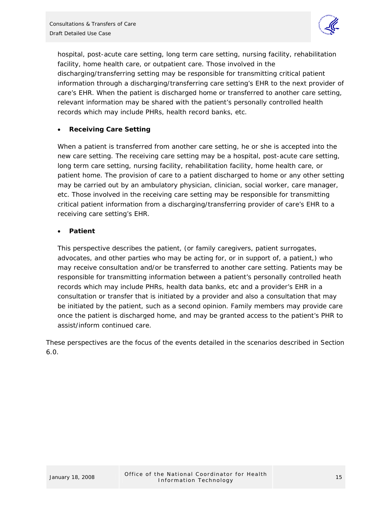

hospital, post-acute care setting, long term care setting, nursing facility, rehabilitation facility, home health care, or outpatient care. Those involved in the discharging/transferring setting may be responsible for transmitting critical patient information through a discharging/transferring care setting's EHR to the next provider of care's EHR. When the patient is discharged home or transferred to another care setting, relevant information may be shared with the patient's personally controlled health records which may include PHRs, health record banks, etc.

### • **Receiving Care Setting**

When a patient is transferred from another care setting, he or she is accepted into the new care setting. The receiving care setting may be a hospital, post-acute care setting, long term care setting, nursing facility, rehabilitation facility, home health care, or patient home. The provision of care to a patient discharged to home or any other setting may be carried out by an ambulatory physician, clinician, social worker, care manager, etc. Those involved in the receiving care setting may be responsible for transmitting critical patient information from a discharging/transferring provider of care's EHR to a receiving care setting's EHR.

### • **Patient**

This perspective describes the patient, (or family caregivers, patient surrogates, advocates, and other parties who may be acting for, or in support of, a patient,) who may receive consultation and/or be transferred to another care setting. Patients may be responsible for transmitting information between a patient's personally controlled heath records which may include PHRs, health data banks, etc and a provider's EHR in a consultation or transfer that is initiated by a provider and also a consultation that may be initiated by the patient, such as a second opinion. Family members may provide care once the patient is discharged home, and may be granted access to the patient's PHR to assist/inform continued care.

These perspectives are the focus of the events detailed in the scenarios described in Section 6.0.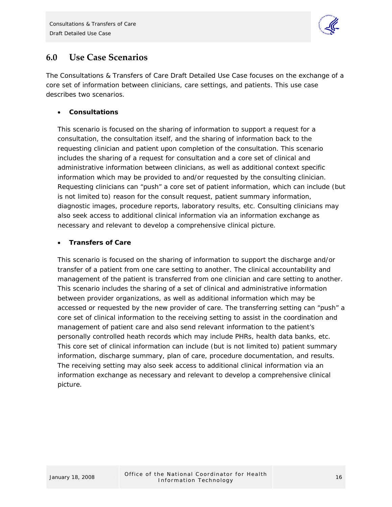

# <span id="page-15-0"></span>**6.0 Use Case Scenarios**

The Consultations & Transfers of Care Draft Detailed Use Case focuses on the exchange of a core set of information between clinicians, care settings, and patients. This use case describes two scenarios.

## • **Consultations**

This scenario is focused on the sharing of information to support a request for a consultation, the consultation itself, and the sharing of information back to the requesting clinician and patient upon completion of the consultation. This scenario includes the sharing of a request for consultation and a core set of clinical and administrative information between clinicians, as well as additional context specific information which may be provided to and/or requested by the consulting clinician. Requesting clinicians can "push" a core set of patient information, which can include (but is not limited to) reason for the consult request, patient summary information, diagnostic images, procedure reports, laboratory results, etc. Consulting clinicians may also seek access to additional clinical information via an information exchange as necessary and relevant to develop a comprehensive clinical picture.

## • **Transfers of Care**

This scenario is focused on the sharing of information to support the discharge and/or transfer of a patient from one care setting to another. The clinical accountability and management of the patient is transferred from one clinician and care setting to another. This scenario includes the sharing of a set of clinical and administrative information between provider organizations, as well as additional information which may be accessed or requested by the new provider of care. The transferring setting can "push" a core set of clinical information to the receiving setting to assist in the coordination and management of patient care and also send relevant information to the patient's personally controlled heath records which may include PHRs, health data banks, etc. This core set of clinical information can include (but is not limited to) patient summary information, discharge summary, plan of care, procedure documentation, and results. The receiving setting may also seek access to additional clinical information via an information exchange as necessary and relevant to develop a comprehensive clinical picture.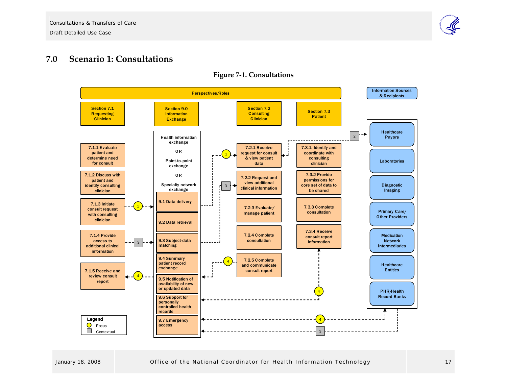

#### **7.0Scenario 1: Consultations**



<span id="page-16-0"></span>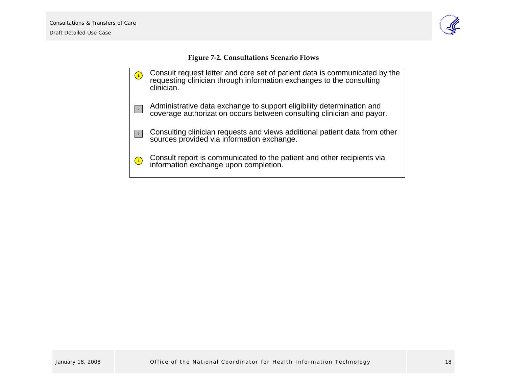

**Figure <sup>7</sup>‐2. Consultations Scenario Flows**

<span id="page-17-0"></span>Consult request letter and core set of patient data is communicated by the requesting clinician through information exchanges to the consulting clinician. Administrative data exchange to support eligibility determination and coverage authorization occurs between consulting clinician and payor. Consulting clinician requests and views additional patient data from other sources provided via information exchange. Consult report is communicated to the patient and other recipients via information exchange upon completion. **1 4** 2 3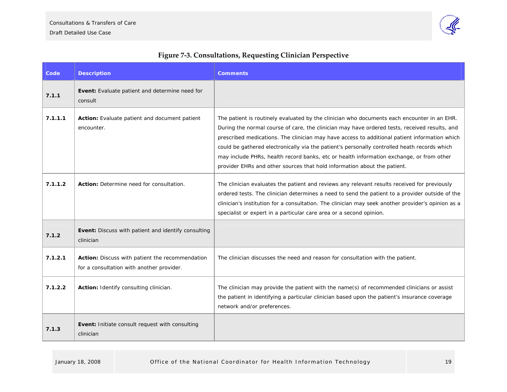

| <b>Figure 7-3. Consultations, Requesting Clinician Perspective</b> |  |  |
|--------------------------------------------------------------------|--|--|
|                                                                    |  |  |

<span id="page-18-0"></span>

| Code    | <b>Description</b>                                                                           | <b>Comments</b>                                                                                                                                                                                                                                                                                                                                                                                                                                                                                                                                                       |
|---------|----------------------------------------------------------------------------------------------|-----------------------------------------------------------------------------------------------------------------------------------------------------------------------------------------------------------------------------------------------------------------------------------------------------------------------------------------------------------------------------------------------------------------------------------------------------------------------------------------------------------------------------------------------------------------------|
| 7.1.1   | Event: Evaluate patient and determine need for<br>consult                                    |                                                                                                                                                                                                                                                                                                                                                                                                                                                                                                                                                                       |
| 7.1.1.1 | Action: Evaluate patient and document patient<br>encounter.                                  | The patient is routinely evaluated by the clinician who documents each encounter in an EHR.<br>During the normal course of care, the clinician may have ordered tests, received results, and<br>prescribed medications. The clinician may have access to additional patient information which<br>could be gathered electronically via the patient's personally controlled heath records which<br>may include PHRs, health record banks, etc or health information exchange, or from other<br>provider EHRs and other sources that hold information about the patient. |
| 7.1.1.2 | Action: Determine need for consultation.                                                     | The clinician evaluates the patient and reviews any relevant results received for previously<br>ordered tests. The clinician determines a need to send the patient to a provider outside of the<br>clinician's institution for a consultation. The clinician may seek another provider's opinion as a<br>specialist or expert in a particular care area or a second opinion.                                                                                                                                                                                          |
| 7.1.2   | <b>Event:</b> Discuss with patient and identify consulting<br>clinician                      |                                                                                                                                                                                                                                                                                                                                                                                                                                                                                                                                                                       |
| 7.1.2.1 | Action: Discuss with patient the recommendation<br>for a consultation with another provider. | The clinician discusses the need and reason for consultation with the patient.                                                                                                                                                                                                                                                                                                                                                                                                                                                                                        |
| 7.1.2.2 | Action: Identify consulting clinician.                                                       | The clinician may provide the patient with the name(s) of recommended clinicians or assist<br>the patient in identifying a particular clinician based upon the patient's insurance coverage<br>network and/or preferences.                                                                                                                                                                                                                                                                                                                                            |
| 7.1.3   | <b>Event:</b> Initiate consult request with consulting<br>clinician                          |                                                                                                                                                                                                                                                                                                                                                                                                                                                                                                                                                                       |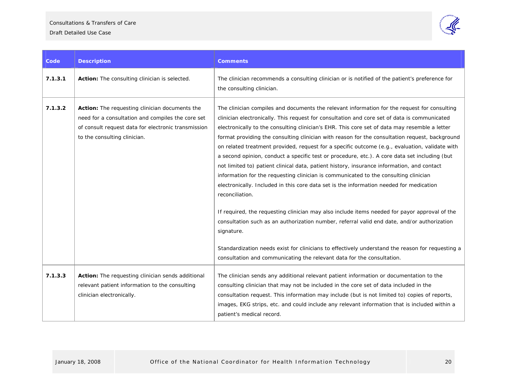

| Code    | <b>Description</b>                                                                                                                                                                         | <b>Comments</b>                                                                                                                                                                                                                                                                                                                                                                                                                                                                                                                                                                                                                                                                                                                                                                                                                                                                                                                                                                                                                                                                                                                                                                                                                                                                                    |
|---------|--------------------------------------------------------------------------------------------------------------------------------------------------------------------------------------------|----------------------------------------------------------------------------------------------------------------------------------------------------------------------------------------------------------------------------------------------------------------------------------------------------------------------------------------------------------------------------------------------------------------------------------------------------------------------------------------------------------------------------------------------------------------------------------------------------------------------------------------------------------------------------------------------------------------------------------------------------------------------------------------------------------------------------------------------------------------------------------------------------------------------------------------------------------------------------------------------------------------------------------------------------------------------------------------------------------------------------------------------------------------------------------------------------------------------------------------------------------------------------------------------------|
| 7.1.3.1 | Action: The consulting clinician is selected.                                                                                                                                              | The clinician recommends a consulting clinician or is notified of the patient's preference for<br>the consulting clinician.                                                                                                                                                                                                                                                                                                                                                                                                                                                                                                                                                                                                                                                                                                                                                                                                                                                                                                                                                                                                                                                                                                                                                                        |
| 7.1.3.2 | Action: The requesting clinician documents the<br>need for a consultation and compiles the core set<br>of consult request data for electronic transmission<br>to the consulting clinician. | The clinician compiles and documents the relevant information for the request for consulting<br>clinician electronically. This request for consultation and core set of data is communicated<br>electronically to the consulting clinician's EHR. This core set of data may resemble a letter<br>format providing the consulting clinician with reason for the consultation request, background<br>on related treatment provided, request for a specific outcome (e.g., evaluation, validate with<br>a second opinion, conduct a specific test or procedure, etc.). A core data set including (but<br>not limited to) patient clinical data, patient history, insurance information, and contact<br>information for the requesting clinician is communicated to the consulting clinician<br>electronically. Included in this core data set is the information needed for medication<br>reconciliation.<br>If required, the requesting clinician may also include items needed for payor approval of the<br>consultation such as an authorization number, referral valid end date, and/or authorization<br>signature.<br>Standardization needs exist for clinicians to effectively understand the reason for requesting a<br>consultation and communicating the relevant data for the consultation. |
| 7.1.3.3 | Action: The requesting clinician sends additional<br>relevant patient information to the consulting<br>clinician electronically.                                                           | The clinician sends any additional relevant patient information or documentation to the<br>consulting clinician that may not be included in the core set of data included in the<br>consultation request. This information may include (but is not limited to) copies of reports,<br>images, EKG strips, etc. and could include any relevant information that is included within a<br>patient's medical record.                                                                                                                                                                                                                                                                                                                                                                                                                                                                                                                                                                                                                                                                                                                                                                                                                                                                                    |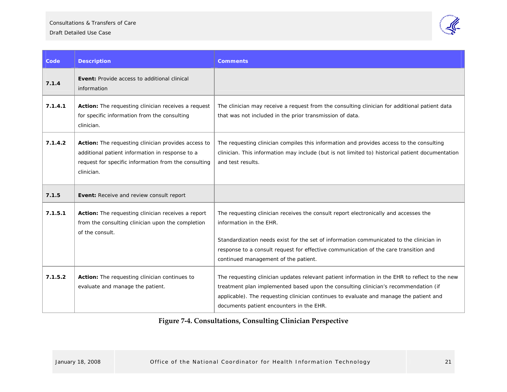#### Consultations & Transfers of Care

#### Draft Detailed Use Case



| Code    | <b>Description</b>                                                                                                                                                           | <b>Comments</b>                                                                                                                                                                                                                                                                                                                            |
|---------|------------------------------------------------------------------------------------------------------------------------------------------------------------------------------|--------------------------------------------------------------------------------------------------------------------------------------------------------------------------------------------------------------------------------------------------------------------------------------------------------------------------------------------|
| 7.1.4   | <b>Event:</b> Provide access to additional clinical<br>information                                                                                                           |                                                                                                                                                                                                                                                                                                                                            |
| 7.1.4.1 | <b>Action:</b> The requesting clinician receives a request<br>for specific information from the consulting<br>clinician.                                                     | The clinician may receive a request from the consulting clinician for additional patient data<br>that was not included in the prior transmission of data.                                                                                                                                                                                  |
| 7.1.4.2 | Action: The requesting clinician provides access to<br>additional patient information in response to a<br>request for specific information from the consulting<br>clinician. | The requesting clinician compiles this information and provides access to the consulting<br>clinician. This information may include (but is not limited to) historical patient documentation<br>and test results.                                                                                                                          |
| 7.1.5   | Event: Receive and review consult report                                                                                                                                     |                                                                                                                                                                                                                                                                                                                                            |
| 7.1.5.1 | Action: The requesting clinician receives a report<br>from the consulting clinician upon the completion<br>of the consult.                                                   | The requesting clinician receives the consult report electronically and accesses the<br>information in the EHR.<br>Standardization needs exist for the set of information communicated to the clinician in<br>response to a consult request for effective communication of the care transition and<br>continued management of the patient. |
| 7.1.5.2 | Action: The requesting clinician continues to<br>evaluate and manage the patient.                                                                                            | The requesting clinician updates relevant patient information in the EHR to reflect to the new<br>treatment plan implemented based upon the consulting clinician's recommendation (if<br>applicable). The requesting clinician continues to evaluate and manage the patient and<br>documents patient encounters in the EHR.                |

# <span id="page-20-0"></span>**Figure <sup>7</sup>‐4. Consultations, Consulting Clinician Perspective**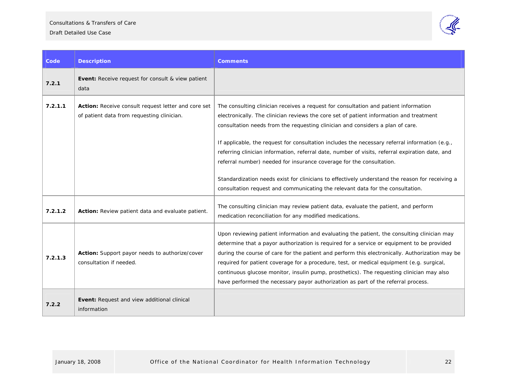Consultations & Transfers of Care

Draft Detailed Use Case



| Code    | <b>Description</b>                                                                                | <b>Comments</b>                                                                                                                                                                                                                                                                                                                                                                                                                                                                                                                                                                                                                                                                                                                     |
|---------|---------------------------------------------------------------------------------------------------|-------------------------------------------------------------------------------------------------------------------------------------------------------------------------------------------------------------------------------------------------------------------------------------------------------------------------------------------------------------------------------------------------------------------------------------------------------------------------------------------------------------------------------------------------------------------------------------------------------------------------------------------------------------------------------------------------------------------------------------|
| 7.2.1   | <b>Event:</b> Receive request for consult & view patient<br>data                                  |                                                                                                                                                                                                                                                                                                                                                                                                                                                                                                                                                                                                                                                                                                                                     |
| 7.2.1.1 | Action: Receive consult request letter and core set<br>of patient data from requesting clinician. | The consulting clinician receives a request for consultation and patient information<br>electronically. The clinician reviews the core set of patient information and treatment<br>consultation needs from the requesting clinician and considers a plan of care.<br>If applicable, the request for consultation includes the necessary referral information (e.g.,<br>referring clinician information, referral date, number of visits, referral expiration date, and<br>referral number) needed for insurance coverage for the consultation.<br>Standardization needs exist for clinicians to effectively understand the reason for receiving a<br>consultation request and communicating the relevant data for the consultation. |
| 7.2.1.2 | Action: Review patient data and evaluate patient.                                                 | The consulting clinician may review patient data, evaluate the patient, and perform<br>medication reconciliation for any modified medications.                                                                                                                                                                                                                                                                                                                                                                                                                                                                                                                                                                                      |
| 7.2.1.3 | Action: Support payor needs to authorize/cover<br>consultation if needed.                         | Upon reviewing patient information and evaluating the patient, the consulting clinician may<br>determine that a payor authorization is required for a service or equipment to be provided<br>during the course of care for the patient and perform this electronically. Authorization may be<br>required for patient coverage for a procedure, test, or medical equipment (e.g. surgical,<br>continuous glucose monitor, insulin pump, prosthetics). The requesting clinician may also<br>have performed the necessary payor authorization as part of the referral process.                                                                                                                                                         |
| 7.2.2   | Event: Request and view additional clinical<br>information                                        |                                                                                                                                                                                                                                                                                                                                                                                                                                                                                                                                                                                                                                                                                                                                     |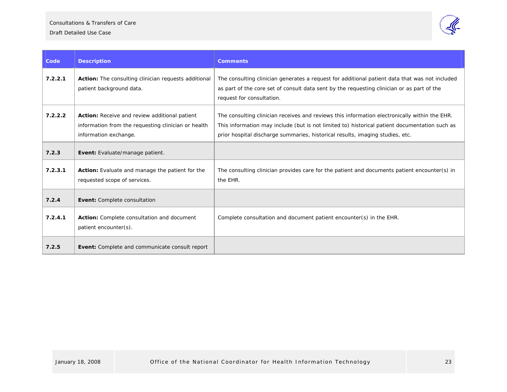

| Code    | <b>Description</b>                                                                                                            | <b>Comments</b>                                                                                                                                                                                                                                                                 |
|---------|-------------------------------------------------------------------------------------------------------------------------------|---------------------------------------------------------------------------------------------------------------------------------------------------------------------------------------------------------------------------------------------------------------------------------|
| 7.2.2.1 | Action: The consulting clinician requests additional<br>patient background data.                                              | The consulting clinician generates a request for additional patient data that was not included<br>as part of the core set of consult data sent by the requesting clinician or as part of the<br>request for consultation.                                                       |
| 7.2.2.2 | Action: Receive and review additional patient<br>information from the requesting clinician or health<br>information exchange. | The consulting clinician receives and reviews this information electronically within the EHR.<br>This information may include (but is not limited to) historical patient documentation such as<br>prior hospital discharge summaries, historical results, imaging studies, etc. |
| 7.2.3   | Event: Evaluate/manage patient.                                                                                               |                                                                                                                                                                                                                                                                                 |
| 7.2.3.1 | Action: Evaluate and manage the patient for the<br>requested scope of services.                                               | The consulting clinician provides care for the patient and documents patient encounter(s) in<br>the EHR.                                                                                                                                                                        |
| 7.2.4   | Event: Complete consultation                                                                                                  |                                                                                                                                                                                                                                                                                 |
| 7.2.4.1 | Action: Complete consultation and document<br>patient encounter(s).                                                           | Complete consultation and document patient encounter(s) in the EHR.                                                                                                                                                                                                             |
| 7.2.5   | Event: Complete and communicate consult report                                                                                |                                                                                                                                                                                                                                                                                 |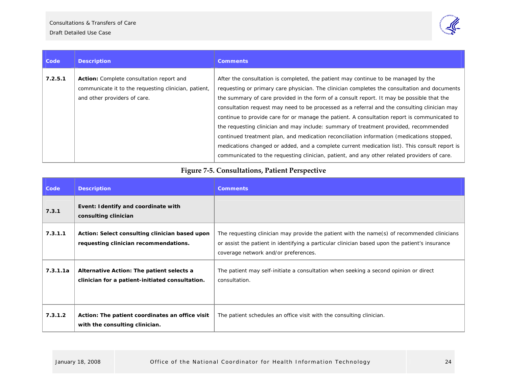

| Code    | <b>Description</b>                                                                                                                      | <b>Comments</b>                                                                                                                                                                                                                                                                                                                                                                                                                                                                                                                                                                                                                                                                                                                                                                                                                                                      |
|---------|-----------------------------------------------------------------------------------------------------------------------------------------|----------------------------------------------------------------------------------------------------------------------------------------------------------------------------------------------------------------------------------------------------------------------------------------------------------------------------------------------------------------------------------------------------------------------------------------------------------------------------------------------------------------------------------------------------------------------------------------------------------------------------------------------------------------------------------------------------------------------------------------------------------------------------------------------------------------------------------------------------------------------|
| 7.2.5.1 | <b>Action:</b> Complete consultation report and<br>communicate it to the requesting clinician, patient,<br>and other providers of care. | After the consultation is completed, the patient may continue to be managed by the<br>requesting or primary care physician. The clinician completes the consultation and documents<br>the summary of care provided in the form of a consult report. It may be possible that the<br>consultation request may need to be processed as a referral and the consulting clinician may<br>continue to provide care for or manage the patient. A consultation report is communicated to<br>the requesting clinician and may include: summary of treatment provided, recommended<br>continued treatment plan, and medication reconciliation information (medications stopped,<br>medications changed or added, and a complete current medication list). This consult report is<br>communicated to the requesting clinician, patient, and any other related providers of care. |

# **Figure <sup>7</sup>‐5. Consultations, Patient Perspective**

<span id="page-23-0"></span>

| Code     | <b>Description</b>                                                                           | <b>Comments</b>                                                                                                                                                                                                                       |
|----------|----------------------------------------------------------------------------------------------|---------------------------------------------------------------------------------------------------------------------------------------------------------------------------------------------------------------------------------------|
| 7.3.1    | Event: Identify and coordinate with<br>consulting clinician                                  |                                                                                                                                                                                                                                       |
| 7.3.1.1  | Action: Select consulting clinician based upon<br>requesting clinician recommendations.      | The requesting clinician may provide the patient with the name(s) of recommended clinicians<br>or assist the patient in identifying a particular clinician based upon the patient's insurance<br>coverage network and/or preferences. |
| 7.3.1.1a | Alternative Action: The patient selects a<br>clinician for a patient-initiated consultation. | The patient may self-initiate a consultation when seeking a second opinion or direct<br>consultation.                                                                                                                                 |
| 7.3.1.2  | Action: The patient coordinates an office visit<br>with the consulting clinician.            | The patient schedules an office visit with the consulting clinician.                                                                                                                                                                  |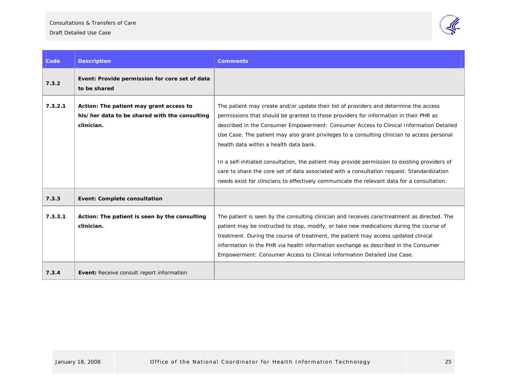Consultations & Transfers of Care



| Code    | <b>Description</b>                                                                                     | <b>Comments</b>                                                                                                                                                                                                                                                                                                                                                                                                                                                                                                                                                                                                                                                                                                   |
|---------|--------------------------------------------------------------------------------------------------------|-------------------------------------------------------------------------------------------------------------------------------------------------------------------------------------------------------------------------------------------------------------------------------------------------------------------------------------------------------------------------------------------------------------------------------------------------------------------------------------------------------------------------------------------------------------------------------------------------------------------------------------------------------------------------------------------------------------------|
| 7.3.2   | Event: Provide permission for core set of data<br>to be shared                                         |                                                                                                                                                                                                                                                                                                                                                                                                                                                                                                                                                                                                                                                                                                                   |
| 7.3.2.1 | Action: The patient may grant access to<br>his/her data to be shared with the consulting<br>clinician. | The patient may create and/or update their list of providers and determine the access<br>permissions that should be granted to those providers for information in their PHR as<br>described in the Consumer Empowerment: Consumer Access to Clinical Information Detailed<br>Use Case. The patient may also grant privileges to a consulting clinician to access personal<br>health data within a health data bank.<br>In a self-initiated consultation, the patient may provide permission to existing providers of<br>care to share the core set of data associated with a consultation request. Standardization<br>needs exist for clinicians to effectively communicate the relevant data for a consultation. |
| 7.3.3   | <b>Event: Complete consultation</b>                                                                    |                                                                                                                                                                                                                                                                                                                                                                                                                                                                                                                                                                                                                                                                                                                   |
| 7.3.3.1 | Action: The patient is seen by the consulting<br>clinician.                                            | The patient is seen by the consulting clinician and receives care/treatment as directed. The<br>patient may be instructed to stop, modify, or take new medications during the course of<br>treatment. During the course of treatment, the patient may access updated clinical<br>information in the PHR via health information exchange as described in the Consumer<br>Empowerment: Consumer Access to Clinical Information Detailed Use Case.                                                                                                                                                                                                                                                                   |
| 7.3.4   | Event: Receive consult report information                                                              |                                                                                                                                                                                                                                                                                                                                                                                                                                                                                                                                                                                                                                                                                                                   |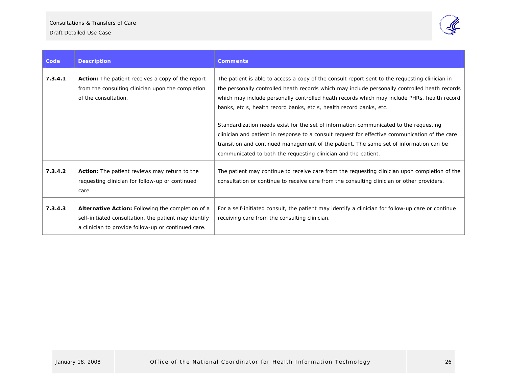

| Code    | <b>Description</b>                                                                                                                                                       | <b>Comments</b>                                                                                                                                                                                                                                                                                                                                                       |
|---------|--------------------------------------------------------------------------------------------------------------------------------------------------------------------------|-----------------------------------------------------------------------------------------------------------------------------------------------------------------------------------------------------------------------------------------------------------------------------------------------------------------------------------------------------------------------|
| 7.3.4.1 | <b>Action:</b> The patient receives a copy of the report<br>from the consulting clinician upon the completion<br>of the consultation.                                    | The patient is able to access a copy of the consult report sent to the requesting clinician in<br>the personally controlled heath records which may include personally controlled heath records<br>which may include personally controlled heath records which may include PHRs, health record<br>banks, etc s, health record banks, etc s, health record banks, etc. |
|         |                                                                                                                                                                          | Standardization needs exist for the set of information communicated to the requesting<br>clinician and patient in response to a consult request for effective communication of the care<br>transition and continued management of the patient. The same set of information can be<br>communicated to both the requesting clinician and the patient.                   |
| 7.3.4.2 | Action: The patient reviews may return to the<br>requesting clinician for follow-up or continued<br>care.                                                                | The patient may continue to receive care from the requesting clinician upon completion of the<br>consultation or continue to receive care from the consulting clinician or other providers.                                                                                                                                                                           |
| 7.3.4.3 | <b>Alternative Action:</b> Following the completion of a<br>self-initiated consultation, the patient may identify<br>a clinician to provide follow-up or continued care. | For a self-initiated consult, the patient may identify a clinician for follow-up care or continue<br>receiving care from the consulting clinician.                                                                                                                                                                                                                    |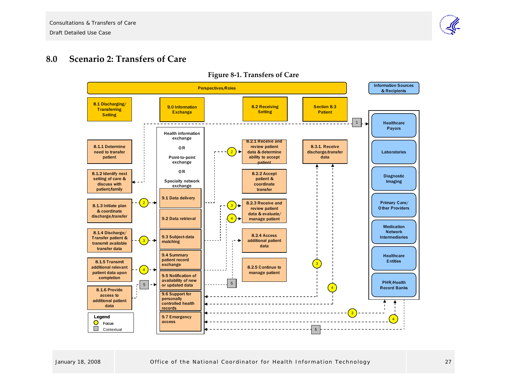

#### **8.0Scenario 2: Transfers of Care**

<span id="page-26-0"></span>

**Figure <sup>8</sup>‐1. Transfers of Care**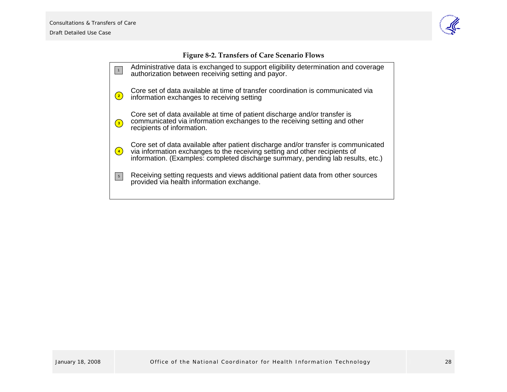

<span id="page-27-0"></span>

|                                                                                                                                                                                                                                                                                                                                                                                                                                                           | Tigule 0-2. Transiers of Care Scenario Tiows                                                                                                                                                                                                        |
|-----------------------------------------------------------------------------------------------------------------------------------------------------------------------------------------------------------------------------------------------------------------------------------------------------------------------------------------------------------------------------------------------------------------------------------------------------------|-----------------------------------------------------------------------------------------------------------------------------------------------------------------------------------------------------------------------------------------------------|
| $\begin{array}{ c c } \hline \multicolumn{1}{ c }{\textbf{1}} & \multicolumn{1}{ c }{\textbf{1}} \\ \hline \multicolumn{1}{ c }{\textbf{1}} & \multicolumn{1}{ c }{\textbf{1}} \\ \hline \multicolumn{1}{ c }{\textbf{1}} & \multicolumn{1}{ c }{\textbf{1}} \\ \hline \multicolumn{1}{ c }{\textbf{1}} & \multicolumn{1}{ c }{\textbf{1}} \\ \hline \multicolumn{1}{ c }{\textbf{1}} & \multicolumn{1}{ c }{\textbf{1}} \\ \hline \multicolumn{1}{ c }{$ | Administrative data is exchanged to support eligibility determination and coverage<br>authorization between receiving setting and payor.                                                                                                            |
| $\left( \begin{matrix} 2 \end{matrix} \right)$                                                                                                                                                                                                                                                                                                                                                                                                            | Core set of data available at time of transfer coordination is communicated via<br>information exchanges to receiving setting                                                                                                                       |
| $\left( \begin{matrix} 3 \end{matrix} \right)$                                                                                                                                                                                                                                                                                                                                                                                                            | Core set of data available at time of patient discharge and/or transfer is<br>communicated via information exchanges to the receiving setting and other<br>recipients of information.                                                               |
| $\left( 4\right)$                                                                                                                                                                                                                                                                                                                                                                                                                                         | Core set of data available after patient discharge and/or transfer is communicated<br>via information exchanges to the receiving setting and other recipients of<br>information. (Examples: completed discharge summary, pending lab results, etc.) |
| $\vert 5 \vert$                                                                                                                                                                                                                                                                                                                                                                                                                                           | Receiving setting requests and views additional patient data from other sources<br>provided via health information exchange.                                                                                                                        |
|                                                                                                                                                                                                                                                                                                                                                                                                                                                           |                                                                                                                                                                                                                                                     |

# **Figure <sup>8</sup>‐2. Transfers of Care Scenario Flows**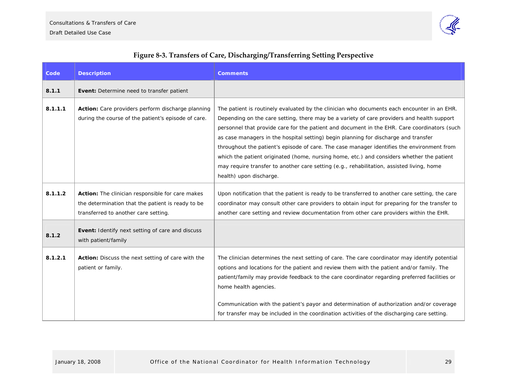

# **Code Description Comments 8.1.1** Event: Determine need to transfer patient **8.1.1.1 Action:** Care providers perform discharge planning during the course of the patient's episode of care. The patient is routinely evaluated by the clinician who documents each encounter in an EHR. Depending on the care setting, there may be a variety of care providers and health support personnel that provide care for the patient and document in the EHR. Care coordinators (such as case managers in the hospital setting) begin planning for discharge and transfer throughout the patient's episode of care. The case manager identifies the environment from which the patient originated (home, nursing home, etc.) and considers whether the patient may require transfer to another care setting (e.g., rehabilitation, assisted living, home health) upon discharge. **8.1.1.2** Action: The clinician responsible for care makes the determination that the patient is ready to be transferred to another care setting. Upon notification that the patient is ready to be transferred to another care setting, the care coordinator may consult other care providers to obtain input for preparing for the transfer to another care setting and review documentation from other care providers within the EHR. **8.1.2 Event:** Identify next setting of care and discuss with patient/family **8.1.2.1 Action:** Discuss the next setting of care with the patient or family. The clinician determines the next setting of care. The care coordinator may identify potential options and locations for the patient and review them with the patient and/or family. The patient/family may provide feedback to the care coordinator regarding preferred facilities or home health agencies. Communication with the patient's payor and determination of authorization and/or coverage

### **Figure <sup>8</sup>‐3. Transfers of Care, Discharging/Transferring Setting Perspective**

<span id="page-28-0"></span>for transfer may be included in the coordination activities of the discharging care setting.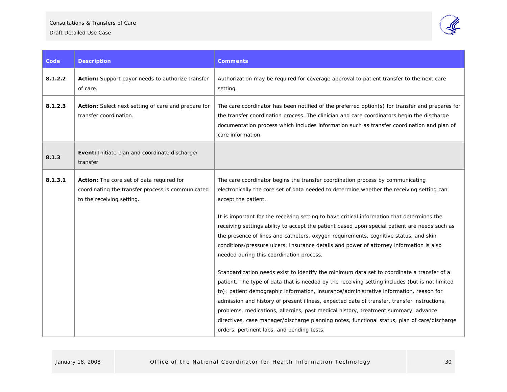#### Consultations & Transfers of Care

#### Draft Detailed Use Case



| Code    | <b>Description</b>                                                                                                          | <b>Comments</b>                                                                                                                                                                                                                                                                                                                                                                                                                                                                                                                                                                                                                                                                                                                                                                                                                                                                                                                                                                                                                                                                                                                                                                                                                                               |
|---------|-----------------------------------------------------------------------------------------------------------------------------|---------------------------------------------------------------------------------------------------------------------------------------------------------------------------------------------------------------------------------------------------------------------------------------------------------------------------------------------------------------------------------------------------------------------------------------------------------------------------------------------------------------------------------------------------------------------------------------------------------------------------------------------------------------------------------------------------------------------------------------------------------------------------------------------------------------------------------------------------------------------------------------------------------------------------------------------------------------------------------------------------------------------------------------------------------------------------------------------------------------------------------------------------------------------------------------------------------------------------------------------------------------|
| 8.1.2.2 | Action: Support payor needs to authorize transfer<br>of care.                                                               | Authorization may be required for coverage approval to patient transfer to the next care<br>setting.                                                                                                                                                                                                                                                                                                                                                                                                                                                                                                                                                                                                                                                                                                                                                                                                                                                                                                                                                                                                                                                                                                                                                          |
| 8.1.2.3 | Action: Select next setting of care and prepare for<br>transfer coordination.                                               | The care coordinator has been notified of the preferred option(s) for transfer and prepares for<br>the transfer coordination process. The clinician and care coordinators begin the discharge<br>documentation process which includes information such as transfer coordination and plan of<br>care information.                                                                                                                                                                                                                                                                                                                                                                                                                                                                                                                                                                                                                                                                                                                                                                                                                                                                                                                                              |
| 8.1.3   | Event: Initiate plan and coordinate discharge/<br>transfer                                                                  |                                                                                                                                                                                                                                                                                                                                                                                                                                                                                                                                                                                                                                                                                                                                                                                                                                                                                                                                                                                                                                                                                                                                                                                                                                                               |
| 8.1.3.1 | Action: The core set of data required for<br>coordinating the transfer process is communicated<br>to the receiving setting. | The care coordinator begins the transfer coordination process by communicating<br>electronically the core set of data needed to determine whether the receiving setting can<br>accept the patient.<br>It is important for the receiving setting to have critical information that determines the<br>receiving settings ability to accept the patient based upon special patient are needs such as<br>the presence of lines and catheters, oxygen requirements, cognitive status, and skin<br>conditions/pressure ulcers. Insurance details and power of attorney information is also<br>needed during this coordination process.<br>Standardization needs exist to identify the minimum data set to coordinate a transfer of a<br>patient. The type of data that is needed by the receiving setting includes (but is not limited<br>to): patient demographic information, insurance/administrative information, reason for<br>admission and history of present illness, expected date of transfer, transfer instructions,<br>problems, medications, allergies, past medical history, treatment summary, advance<br>directives, case manager/discharge planning notes, functional status, plan of care/discharge<br>orders, pertinent labs, and pending tests. |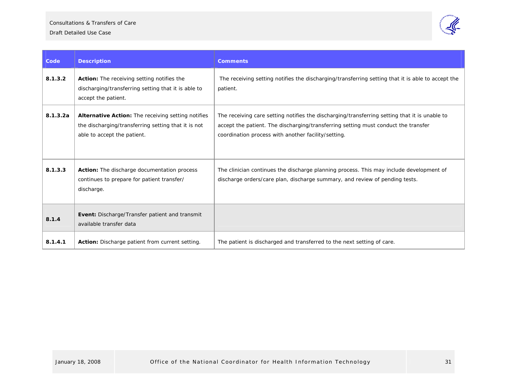Draft Detailed Use Case



| Code     | <b>Description</b>                                                                                                                              | <b>Comments</b>                                                                                                                                                                                                                            |
|----------|-------------------------------------------------------------------------------------------------------------------------------------------------|--------------------------------------------------------------------------------------------------------------------------------------------------------------------------------------------------------------------------------------------|
| 8.1.3.2  | Action: The receiving setting notifies the<br>discharging/transferring setting that it is able to<br>accept the patient.                        | The receiving setting notifies the discharging/transferring setting that it is able to accept the<br>patient.                                                                                                                              |
| 8.1.3.2a | <b>Alternative Action:</b> The receiving setting notifies<br>the discharging/transferring setting that it is not<br>able to accept the patient. | The receiving care setting notifies the discharging/transferring setting that it is unable to<br>accept the patient. The discharging/transferring setting must conduct the transfer<br>coordination process with another facility/setting. |
| 8.1.3.3  | Action: The discharge documentation process<br>continues to prepare for patient transfer/<br>discharge.                                         | The clinician continues the discharge planning process. This may include development of<br>discharge orders/care plan, discharge summary, and review of pending tests.                                                                     |
| 8.1.4    | Event: Discharge/Transfer patient and transmit<br>available transfer data                                                                       |                                                                                                                                                                                                                                            |
| 8.1.4.1  | Action: Discharge patient from current setting.                                                                                                 | The patient is discharged and transferred to the next setting of care.                                                                                                                                                                     |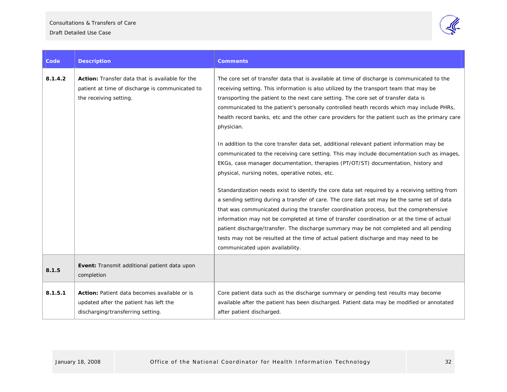

| Code    | <b>Description</b>                                                                                                                  | <b>Comments</b>                                                                                                                                                                                                                                                                                                                                                                                                                                                                                                                                                                                                                                                                                                                                                                                                                                                                                                                                                                                                                                                                                                                                                                                                                                                                                                                                                                                      |
|---------|-------------------------------------------------------------------------------------------------------------------------------------|------------------------------------------------------------------------------------------------------------------------------------------------------------------------------------------------------------------------------------------------------------------------------------------------------------------------------------------------------------------------------------------------------------------------------------------------------------------------------------------------------------------------------------------------------------------------------------------------------------------------------------------------------------------------------------------------------------------------------------------------------------------------------------------------------------------------------------------------------------------------------------------------------------------------------------------------------------------------------------------------------------------------------------------------------------------------------------------------------------------------------------------------------------------------------------------------------------------------------------------------------------------------------------------------------------------------------------------------------------------------------------------------------|
| 8.1.4.2 | <b>Action:</b> Transfer data that is available for the<br>patient at time of discharge is communicated to<br>the receiving setting. | The core set of transfer data that is available at time of discharge is communicated to the<br>receiving setting. This information is also utilized by the transport team that may be<br>transporting the patient to the next care setting. The core set of transfer data is<br>communicated to the patient's personally controlled heath records which may include PHRs,<br>health record banks, etc and the other care providers for the patient such as the primary care<br>physician.<br>In addition to the core transfer data set, additional relevant patient information may be<br>communicated to the receiving care setting. This may include documentation such as images,<br>EKGs, case manager documentation, therapies (PT/OT/ST) documentation, history and<br>physical, nursing notes, operative notes, etc.<br>Standardization needs exist to identify the core data set required by a receiving setting from<br>a sending setting during a transfer of care. The core data set may be the same set of data<br>that was communicated during the transfer coordination process, but the comprehensive<br>information may not be completed at time of transfer coordination or at the time of actual<br>patient discharge/transfer. The discharge summary may be not completed and all pending<br>tests may not be resulted at the time of actual patient discharge and may need to be |
|         |                                                                                                                                     | communicated upon availability.                                                                                                                                                                                                                                                                                                                                                                                                                                                                                                                                                                                                                                                                                                                                                                                                                                                                                                                                                                                                                                                                                                                                                                                                                                                                                                                                                                      |
| 8.1.5   | Event: Transmit additional patient data upon<br>completion                                                                          |                                                                                                                                                                                                                                                                                                                                                                                                                                                                                                                                                                                                                                                                                                                                                                                                                                                                                                                                                                                                                                                                                                                                                                                                                                                                                                                                                                                                      |
| 8.1.5.1 | <b>Action:</b> Patient data becomes available or is<br>updated after the patient has left the<br>discharging/transferring setting.  | Core patient data such as the discharge summary or pending test results may become<br>available after the patient has been discharged. Patient data may be modified or annotated<br>after patient discharged.                                                                                                                                                                                                                                                                                                                                                                                                                                                                                                                                                                                                                                                                                                                                                                                                                                                                                                                                                                                                                                                                                                                                                                                        |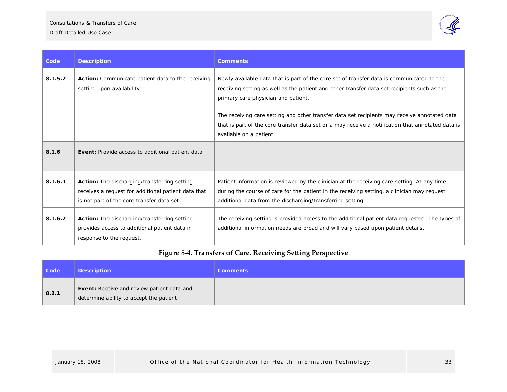

| Code    | <b>Description</b>                                                                                                                                       | <b>Comments</b>                                                                                                                                                                                                                                          |
|---------|----------------------------------------------------------------------------------------------------------------------------------------------------------|----------------------------------------------------------------------------------------------------------------------------------------------------------------------------------------------------------------------------------------------------------|
| 8.1.5.2 | Action: Communicate patient data to the receiving<br>setting upon availability.                                                                          | Newly available data that is part of the core set of transfer data is communicated to the<br>receiving setting as well as the patient and other transfer data set recipients such as the<br>primary care physician and patient.                          |
|         |                                                                                                                                                          | The receiving care setting and other transfer data set recipients may receive annotated data<br>that is part of the core transfer data set or a may receive a notification that annotated data is<br>available on a patient.                             |
| 8.1.6   | Event: Provide access to additional patient data                                                                                                         |                                                                                                                                                                                                                                                          |
| 8.1.6.1 | <b>Action:</b> The discharging/transferring setting<br>receives a request for additional patient data that<br>is not part of the core transfer data set. | Patient information is reviewed by the clinician at the receiving care setting. At any time<br>during the course of care for the patient in the receiving setting, a clinician may request<br>additional data from the discharging/transferring setting. |
| 8.1.6.2 | <b>Action:</b> The discharging/transferring setting<br>provides access to additional patient data in<br>response to the request.                         | The receiving setting is provided access to the additional patient data requested. The types of<br>additional information needs are broad and will vary based upon patient details.                                                                      |

# **Figure <sup>8</sup>‐4. Transfers of Care, Receiving Setting Perspective**

<span id="page-32-0"></span>

| <b>Code</b> | <b>Description</b>                                                                           | <b>Comments</b> |
|-------------|----------------------------------------------------------------------------------------------|-----------------|
| 8.2.1       | <b>Event:</b> Receive and review patient data and<br>determine ability to accept the patient |                 |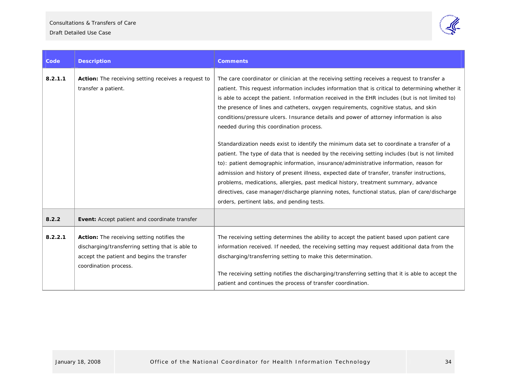Consultations & Transfers of Care



| Code    | <b>Description</b>                                                                                                                                                    | <b>Comments</b>                                                                                                                                                                                                                                                                                                                                                                                                                                                                                                                                                                                                           |
|---------|-----------------------------------------------------------------------------------------------------------------------------------------------------------------------|---------------------------------------------------------------------------------------------------------------------------------------------------------------------------------------------------------------------------------------------------------------------------------------------------------------------------------------------------------------------------------------------------------------------------------------------------------------------------------------------------------------------------------------------------------------------------------------------------------------------------|
| 8.2.1.1 | Action: The receiving setting receives a request to<br>transfer a patient.                                                                                            | The care coordinator or clinician at the receiving setting receives a request to transfer a<br>patient. This request information includes information that is critical to determining whether it<br>is able to accept the patient. Information received in the EHR includes (but is not limited to)<br>the presence of lines and catheters, oxygen requirements, cognitive status, and skin<br>conditions/pressure ulcers. Insurance details and power of attorney information is also<br>needed during this coordination process.                                                                                        |
|         |                                                                                                                                                                       | Standardization needs exist to identify the minimum data set to coordinate a transfer of a<br>patient. The type of data that is needed by the receiving setting includes (but is not limited<br>to): patient demographic information, insurance/administrative information, reason for<br>admission and history of present illness, expected date of transfer, transfer instructions,<br>problems, medications, allergies, past medical history, treatment summary, advance<br>directives, case manager/discharge planning notes, functional status, plan of care/discharge<br>orders, pertinent labs, and pending tests. |
| 8.2.2   | Event: Accept patient and coordinate transfer                                                                                                                         |                                                                                                                                                                                                                                                                                                                                                                                                                                                                                                                                                                                                                           |
| 8.2.2.1 | Action: The receiving setting notifies the<br>discharging/transferring setting that is able to<br>accept the patient and begins the transfer<br>coordination process. | The receiving setting determines the ability to accept the patient based upon patient care<br>information received. If needed, the receiving setting may request additional data from the<br>discharging/transferring setting to make this determination.<br>The receiving setting notifies the discharging/transferring setting that it is able to accept the<br>patient and continues the process of transfer coordination.                                                                                                                                                                                             |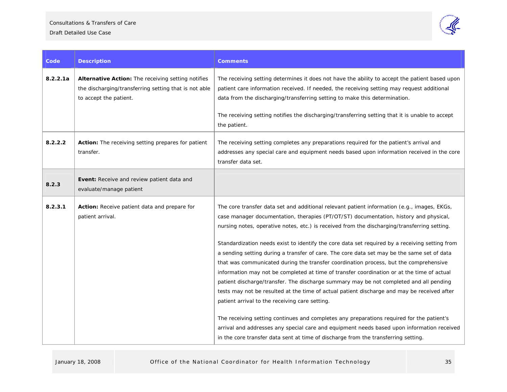

| Code     | <b>Description</b>                                                                                                                    | <b>Comments</b>                                                                                                                                                                                                                                                                                                                                                                                                                                                                                                                                                                                                                                                                                                                                                                                                                                                                                                                                                                                                                                                                                                                                                                                         |
|----------|---------------------------------------------------------------------------------------------------------------------------------------|---------------------------------------------------------------------------------------------------------------------------------------------------------------------------------------------------------------------------------------------------------------------------------------------------------------------------------------------------------------------------------------------------------------------------------------------------------------------------------------------------------------------------------------------------------------------------------------------------------------------------------------------------------------------------------------------------------------------------------------------------------------------------------------------------------------------------------------------------------------------------------------------------------------------------------------------------------------------------------------------------------------------------------------------------------------------------------------------------------------------------------------------------------------------------------------------------------|
| 8.2.2.1a | Alternative Action: The receiving setting notifies<br>the discharging/transferring setting that is not able<br>to accept the patient. | The receiving setting determines it does not have the ability to accept the patient based upon<br>patient care information received. If needed, the receiving setting may request additional<br>data from the discharging/transferring setting to make this determination.<br>The receiving setting notifies the discharging/transferring setting that it is unable to accept<br>the patient.                                                                                                                                                                                                                                                                                                                                                                                                                                                                                                                                                                                                                                                                                                                                                                                                           |
| 8.2.2.2  | Action: The receiving setting prepares for patient<br>transfer.                                                                       | The receiving setting completes any preparations required for the patient's arrival and<br>addresses any special care and equipment needs based upon information received in the core<br>transfer data set.                                                                                                                                                                                                                                                                                                                                                                                                                                                                                                                                                                                                                                                                                                                                                                                                                                                                                                                                                                                             |
| 8.2.3    | Event: Receive and review patient data and<br>evaluate/manage patient                                                                 |                                                                                                                                                                                                                                                                                                                                                                                                                                                                                                                                                                                                                                                                                                                                                                                                                                                                                                                                                                                                                                                                                                                                                                                                         |
| 8.2.3.1  | Action: Receive patient data and prepare for<br>patient arrival.                                                                      | The core transfer data set and additional relevant patient information (e.g., images, EKGs,<br>case manager documentation, therapies (PT/OT/ST) documentation, history and physical,<br>nursing notes, operative notes, etc.) is received from the discharging/transferring setting.<br>Standardization needs exist to identify the core data set required by a receiving setting from<br>a sending setting during a transfer of care. The core data set may be the same set of data<br>that was communicated during the transfer coordination process, but the comprehensive<br>information may not be completed at time of transfer coordination or at the time of actual<br>patient discharge/transfer. The discharge summary may be not completed and all pending<br>tests may not be resulted at the time of actual patient discharge and may be received after<br>patient arrival to the receiving care setting.<br>The receiving setting continues and completes any preparations required for the patient's<br>arrival and addresses any special care and equipment needs based upon information received<br>in the core transfer data sent at time of discharge from the transferring setting. |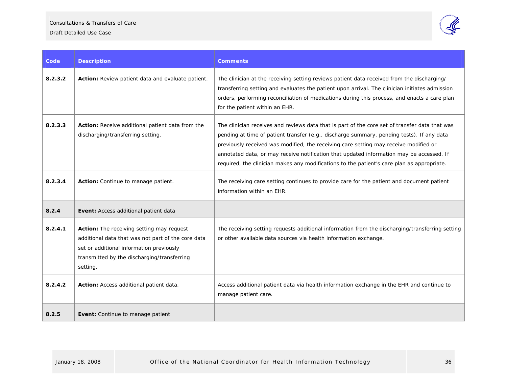

| Code    | <b>Description</b>                                                                                                                                                                                            | <b>Comments</b>                                                                                                                                                                                                                                                                                                                                                                                                                                                               |  |
|---------|---------------------------------------------------------------------------------------------------------------------------------------------------------------------------------------------------------------|-------------------------------------------------------------------------------------------------------------------------------------------------------------------------------------------------------------------------------------------------------------------------------------------------------------------------------------------------------------------------------------------------------------------------------------------------------------------------------|--|
| 8.2.3.2 | Action: Review patient data and evaluate patient.                                                                                                                                                             | The clinician at the receiving setting reviews patient data received from the discharging/<br>transferring setting and evaluates the patient upon arrival. The clinician initiates admission<br>orders, performing reconciliation of medications during this process, and enacts a care plan<br>for the patient within an EHR.                                                                                                                                                |  |
| 8.2.3.3 | Action: Receive additional patient data from the<br>discharging/transferring setting.                                                                                                                         | The clinician receives and reviews data that is part of the core set of transfer data that was<br>pending at time of patient transfer (e.g., discharge summary, pending tests). If any data<br>previously received was modified, the receiving care setting may receive modified or<br>annotated data, or may receive notification that updated information may be accessed. If<br>required, the clinician makes any modifications to the patient's care plan as appropriate. |  |
| 8.2.3.4 | Action: Continue to manage patient.                                                                                                                                                                           | The receiving care setting continues to provide care for the patient and document patient<br>information within an EHR.                                                                                                                                                                                                                                                                                                                                                       |  |
| 8.2.4   | Event: Access additional patient data                                                                                                                                                                         |                                                                                                                                                                                                                                                                                                                                                                                                                                                                               |  |
| 8.2.4.1 | <b>Action:</b> The receiving setting may request<br>additional data that was not part of the core data<br>set or additional information previously<br>transmitted by the discharging/transferring<br>setting. | The receiving setting requests additional information from the discharging/transferring setting<br>or other available data sources via health information exchange.                                                                                                                                                                                                                                                                                                           |  |
| 8.2.4.2 | Action: Access additional patient data.                                                                                                                                                                       | Access additional patient data via health information exchange in the EHR and continue to<br>manage patient care.                                                                                                                                                                                                                                                                                                                                                             |  |
| 8.2.5   | Event: Continue to manage patient                                                                                                                                                                             |                                                                                                                                                                                                                                                                                                                                                                                                                                                                               |  |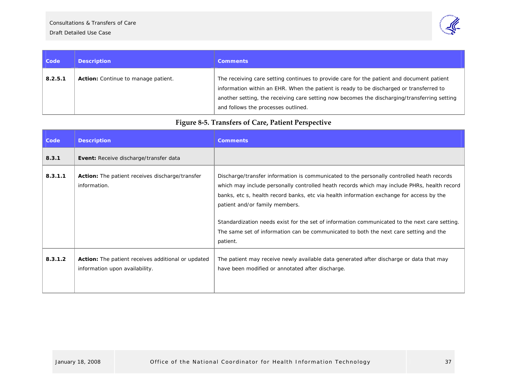

| <b>Code</b> | <b>Description</b>                         | <b>Comments</b>                                                                                                                                                                                                                                                                                                             |
|-------------|--------------------------------------------|-----------------------------------------------------------------------------------------------------------------------------------------------------------------------------------------------------------------------------------------------------------------------------------------------------------------------------|
| 8.2.5.1     | <b>Action:</b> Continue to manage patient. | The receiving care setting continues to provide care for the patient and document patient<br>information within an EHR. When the patient is ready to be discharged or transferred to<br>another setting, the receiving care setting now becomes the discharging/transferring setting<br>and follows the processes outlined. |

# **Figure <sup>8</sup>‐5. Transfers of Care, Patient Perspective**

<span id="page-36-0"></span>

| Code    | <b>Description</b>                                                                          | <b>Comments</b>                                                                                                                                                                                                                                                                                                                                                                                                                                                                                                              |
|---------|---------------------------------------------------------------------------------------------|------------------------------------------------------------------------------------------------------------------------------------------------------------------------------------------------------------------------------------------------------------------------------------------------------------------------------------------------------------------------------------------------------------------------------------------------------------------------------------------------------------------------------|
| 8.3.1   | <b>Event:</b> Receive discharge/transfer data                                               |                                                                                                                                                                                                                                                                                                                                                                                                                                                                                                                              |
| 8.3.1.1 | <b>Action:</b> The patient receives discharge/transfer<br>information.                      | Discharge/transfer information is communicated to the personally controlled heath records<br>which may include personally controlled heath records which may include PHRs, health record<br>banks, etc s, health record banks, etc via health information exchange for access by the<br>patient and/or family members.<br>Standardization needs exist for the set of information communicated to the next care setting.<br>The same set of information can be communicated to both the next care setting and the<br>patient. |
| 8.3.1.2 | <b>Action:</b> The patient receives additional or updated<br>information upon availability. | The patient may receive newly available data generated after discharge or data that may<br>have been modified or annotated after discharge.                                                                                                                                                                                                                                                                                                                                                                                  |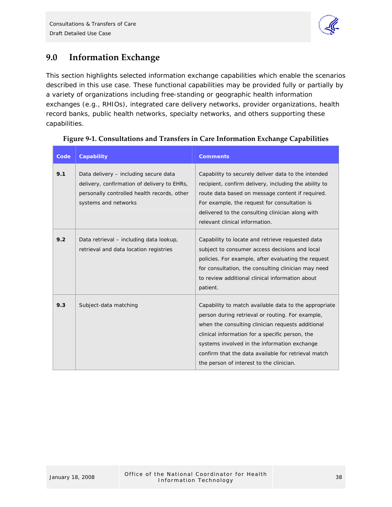

# <span id="page-37-0"></span>**9.0 Information Exchange**

This section highlights selected information exchange capabilities which enable the scenarios described in this use case. These functional capabilities may be provided fully or partially by a variety of organizations including free-standing or geographic health information exchanges (e.g., RHIOs), integrated care delivery networks, provider organizations, health record banks, public health networks, specialty networks, and others supporting these capabilities.

| Code | Capability                                                                                                                                                  | <b>Comments</b>                                                                                                                                                                                                                                                                                                                                                      |
|------|-------------------------------------------------------------------------------------------------------------------------------------------------------------|----------------------------------------------------------------------------------------------------------------------------------------------------------------------------------------------------------------------------------------------------------------------------------------------------------------------------------------------------------------------|
| 9.1  | Data delivery - including secure data<br>delivery, confirmation of delivery to EHRs,<br>personally controlled health records, other<br>systems and networks | Capability to securely deliver data to the intended<br>recipient, confirm delivery, including the ability to<br>route data based on message content if required.<br>For example, the request for consultation is<br>delivered to the consulting clinician along with<br>relevant clinical information.                                                               |
| 9.2  | Data retrieval – including data lookup,<br>retrieval and data location registries                                                                           | Capability to locate and retrieve requested data<br>subject to consumer access decisions and local<br>policies. For example, after evaluating the request<br>for consultation, the consulting clinician may need<br>to review additional clinical information about<br>patient.                                                                                      |
| 9.3  | Subject-data matching                                                                                                                                       | Capability to match available data to the appropriate<br>person during retrieval or routing. For example,<br>when the consulting clinician requests additional<br>clinical information for a specific person, the<br>systems involved in the information exchange<br>confirm that the data available for retrieval match<br>the person of interest to the clinician. |

## **Figure 9‐1. Consultations and Transfers in Care Information Exchange Capabilities**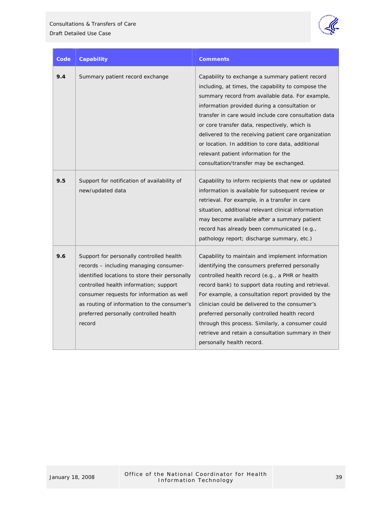

| Code | Capability                                                                                                                                                                                                                                                                                                                     | <b>Comments</b>                                                                                                                                                                                                                                                                                                                                                                                                                                                                                                      |
|------|--------------------------------------------------------------------------------------------------------------------------------------------------------------------------------------------------------------------------------------------------------------------------------------------------------------------------------|----------------------------------------------------------------------------------------------------------------------------------------------------------------------------------------------------------------------------------------------------------------------------------------------------------------------------------------------------------------------------------------------------------------------------------------------------------------------------------------------------------------------|
| 9.4  | Summary patient record exchange                                                                                                                                                                                                                                                                                                | Capability to exchange a summary patient record<br>including, at times, the capability to compose the<br>summary record from available data. For example,<br>information provided during a consultation or<br>transfer in care would include core consultation data<br>or core transfer data, respectively, which is<br>delivered to the receiving patient care organization<br>or location. In addition to core data, additional<br>relevant patient information for the<br>consultation/transfer may be exchanged. |
| 9.5  | Support for notification of availability of<br>new/updated data                                                                                                                                                                                                                                                                | Capability to inform recipients that new or updated<br>information is available for subsequent review or<br>retrieval. For example, in a transfer in care<br>situation, additional relevant clinical information<br>may become available after a summary patient<br>record has already been communicated (e.g.,<br>pathology report; discharge summary, etc.)                                                                                                                                                        |
| 9.6  | Support for personally controlled health<br>records – including managing consumer-<br>identified locations to store their personally<br>controlled health information; support<br>consumer requests for information as well<br>as routing of information to the consumer's<br>preferred personally controlled health<br>record | Capability to maintain and implement information<br>identifying the consumers preferred personally<br>controlled health record (e.g., a PHR or health<br>record bank) to support data routing and retrieval.<br>For example, a consultation report provided by the<br>clinician could be delivered to the consumer's<br>preferred personally controlled health record<br>through this process. Similarly, a consumer could<br>retrieve and retain a consultation summary in their<br>personally health record.       |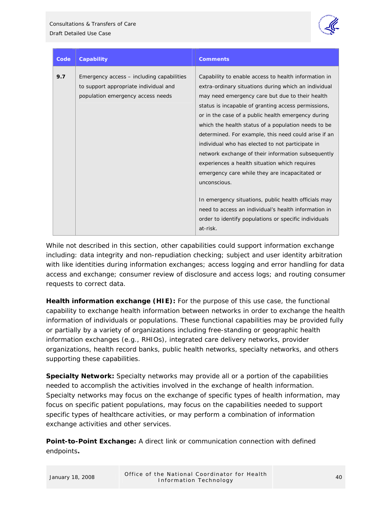

| Code | Capability                                                                                                              | <b>Comments</b>                                                                                                                                                                                                                                                                                                                                                                                                                                                                                                                                                                                                          |
|------|-------------------------------------------------------------------------------------------------------------------------|--------------------------------------------------------------------------------------------------------------------------------------------------------------------------------------------------------------------------------------------------------------------------------------------------------------------------------------------------------------------------------------------------------------------------------------------------------------------------------------------------------------------------------------------------------------------------------------------------------------------------|
| 9.7  | Emergency access – including capabilities<br>to support appropriate individual and<br>population emergency access needs | Capability to enable access to health information in<br>extra-ordinary situations during which an individual<br>may need emergency care but due to their health<br>status is incapable of granting access permissions,<br>or in the case of a public health emergency during<br>which the health status of a population needs to be<br>determined. For example, this need could arise if an<br>individual who has elected to not participate in<br>network exchange of their information subsequently<br>experiences a health situation which requires<br>emergency care while they are incapacitated or<br>unconscious. |
|      |                                                                                                                         | In emergency situations, public health officials may<br>need to access an individual's health information in<br>order to identify populations or specific individuals<br>at-risk.                                                                                                                                                                                                                                                                                                                                                                                                                                        |

While not described in this section, other capabilities could support information exchange including: data integrity and non-repudiation checking; subject and user identity arbitration with like identities during information exchanges; access logging and error handling for data access and exchange; consumer review of disclosure and access logs; and routing consumer requests to correct data.

**Health information exchange (HIE):** For the purpose of this use case, the functional capability to exchange health information between networks in order to exchange the health information of individuals or populations. These functional capabilities may be provided fully or partially by a variety of organizations including free-standing or geographic health information exchanges (e.g., RHIOs), integrated care delivery networks, provider organizations, health record banks, public health networks, specialty networks, and others supporting these capabilities.

**Specialty Network:** Specialty networks may provide all or a portion of the capabilities needed to accomplish the activities involved in the exchange of health information. Specialty networks may focus on the exchange of specific types of health information, may focus on specific patient populations, may focus on the capabilities needed to support specific types of healthcare activities, or may perform a combination of information exchange activities and other services.

**Point-to-Point Exchange:** A direct link or communication connection with defined endpoints**.**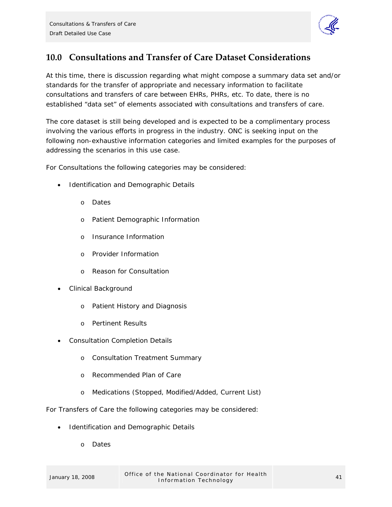

# <span id="page-40-0"></span>**10.0 Consultations and Transfer of Care Dataset Considerations**

At this time, there is discussion regarding what might compose a summary data set and/or standards for the transfer of appropriate and necessary information to facilitate consultations and transfers of care between EHRs, PHRs, etc. To date, there is no established "data set" of elements associated with consultations and transfers of care.

The core dataset is still being developed and is expected to be a complimentary process involving the various efforts in progress in the industry. ONC is seeking input on the following non-exhaustive information categories and limited examples for the purposes of addressing the scenarios in this use case.

For Consultations the following categories may be considered:

- Identification and Demographic Details
	- o Dates
	- o Patient Demographic Information
	- o Insurance Information
	- o Provider Information
	- o Reason for Consultation
- Clinical Background
	- o Patient History and Diagnosis
	- o Pertinent Results
- Consultation Completion Details
	- o Consultation Treatment Summary
	- o Recommended Plan of Care
	- o Medications (Stopped, Modified/Added, Current List)

For Transfers of Care the following categories may be considered:

- Identification and Demographic Details
	- o Dates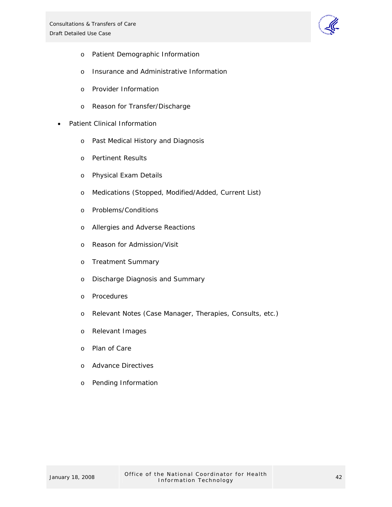

- o Patient Demographic Information
- o Insurance and Administrative Information
- o Provider Information
- o Reason for Transfer/Discharge
- Patient Clinical Information
	- o Past Medical History and Diagnosis
	- o Pertinent Results
	- o Physical Exam Details
	- o Medications (Stopped, Modified/Added, Current List)
	- o Problems/Conditions
	- o Allergies and Adverse Reactions
	- o Reason for Admission/Visit
	- o Treatment Summary
	- o Discharge Diagnosis and Summary
	- o Procedures
	- o Relevant Notes (Case Manager, Therapies, Consults, etc.)
	- o Relevant Images
	- o Plan of Care
	- o Advance Directives
	- o Pending Information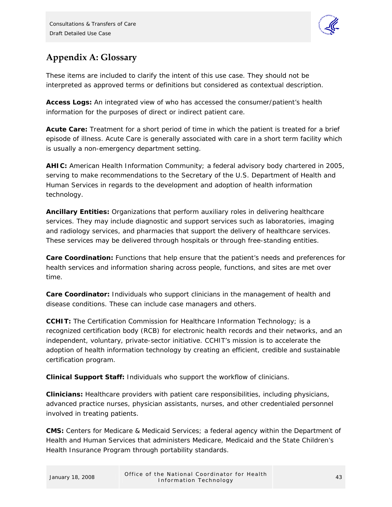

# <span id="page-42-0"></span>**Appendix A: Glossary**

These items are included to clarify the intent of this use case. They should not be interpreted as approved terms or definitions but considered as contextual description.

**Access Logs:** An integrated view of who has accessed the consumer/patient's health information for the purposes of direct or indirect patient care.

**Acute Care:** Treatment for a short period of time in which the patient is treated for a brief episode of illness. Acute Care is generally associated with care in a short term facility which is usually a non-emergency department setting.

**AHIC:** American Health Information Community; a federal advisory body chartered in 2005, serving to make recommendations to the Secretary of the U.S. Department of Health and Human Services in regards to the development and adoption of health information technology.

**Ancillary Entities:** Organizations that perform auxiliary roles in delivering healthcare services. They may include diagnostic and support services such as laboratories, imaging and radiology services, and pharmacies that support the delivery of healthcare services. These services may be delivered through hospitals or through free-standing entities.

**Care Coordination:** Functions that help ensure that the patient's needs and preferences for health services and information sharing across people, functions, and sites are met over time.

**Care Coordinator:** Individuals who support clinicians in the management of health and disease conditions. These can include case managers and others.

**CCHIT:** The Certification Commission for Healthcare Information Technology; is a recognized certification body (RCB) for electronic health records and their networks, and an independent, voluntary, private-sector initiative. CCHIT's mission is to accelerate the adoption of health information technology by creating an efficient, credible and sustainable certification program.

**Clinical Support Staff:** Individuals who support the workflow of clinicians.

**Clinicians:** Healthcare providers with patient care responsibilities, including physicians, advanced practice nurses, physician assistants, nurses, and other credentialed personnel involved in treating patients.

**CMS:** Centers for Medicare & Medicaid Services; a federal agency within the Department of Health and Human Services that administers Medicare, Medicaid and the State Children's Health Insurance Program through portability standards.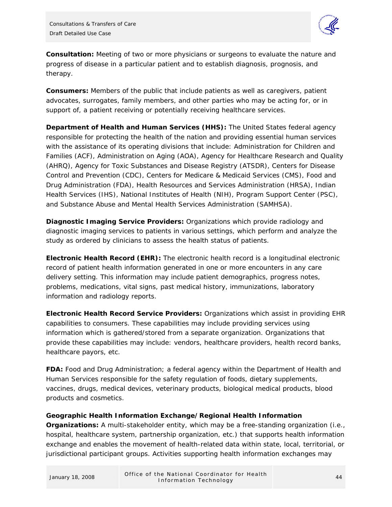

**Consultation:** Meeting of two or more physicians or surgeons to evaluate the nature and progress of disease in a particular patient and to establish diagnosis, prognosis, and therapy.

**Consumers:** Members of the public that include patients as well as caregivers, patient advocates, surrogates, family members, and other parties who may be acting for, or in support of, a patient receiving or potentially receiving healthcare services.

**Department of Health and Human Services (HHS):** The United States federal agency responsible for protecting the health of the nation and providing essential human services with the assistance of its operating divisions that include: Administration for Children and Families (ACF), Administration on Aging (AOA), Agency for Healthcare Research and Quality (AHRQ), Agency for Toxic Substances and Disease Registry (ATSDR), Centers for Disease Control and Prevention (CDC), Centers for Medicare & Medicaid Services (CMS), Food and Drug Administration (FDA), Health Resources and Services Administration (HRSA), Indian Health Services (IHS), National Institutes of Health (NIH), Program Support Center (PSC), and Substance Abuse and Mental Health Services Administration (SAMHSA).

**Diagnostic Imaging Service Providers:** Organizations which provide radiology and diagnostic imaging services to patients in various settings, which perform and analyze the study as ordered by clinicians to assess the health status of patients.

**Electronic Health Record (EHR):** The electronic health record is a longitudinal electronic record of patient health information generated in one or more encounters in any care delivery setting. This information may include patient demographics, progress notes, problems, medications, vital signs, past medical history, immunizations, laboratory information and radiology reports.

**Electronic Health Record Service Providers:** Organizations which assist in providing EHR capabilities to consumers. These capabilities may include providing services using information which is gathered/stored from a separate organization. Organizations that provide these capabilities may include: vendors, healthcare providers, health record banks, healthcare payors, etc.

**FDA:** Food and Drug Administration; a federal agency within the Department of Health and Human Services responsible for the safety regulation of foods, dietary supplements, vaccines, drugs, medical devices, veterinary products, biological medical products, blood products and cosmetics.

## **Geographic Health Information Exchange/Regional Health Information**

**Organizations:** A multi-stakeholder entity, which may be a free-standing organization (i.e., hospital, healthcare system, partnership organization, etc.) that supports health information exchange and enables the movement of health-related data within state, local, territorial, or jurisdictional participant groups. Activities supporting health information exchanges may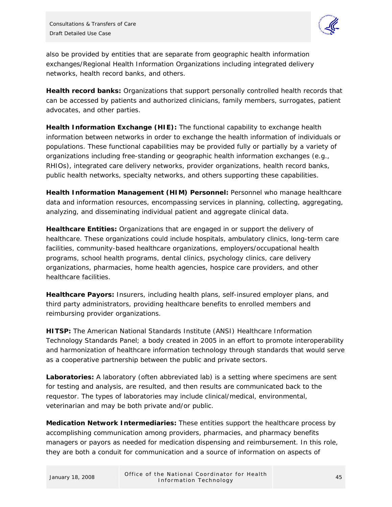

also be provided by entities that are separate from geographic health information exchanges/Regional Health Information Organizations including integrated delivery networks, health record banks, and others.

**Health record banks:** Organizations that support personally controlled health records that can be accessed by patients and authorized clinicians, family members, surrogates, patient advocates, and other parties.

**Health Information Exchange (HIE):** The functional capability to exchange health information between networks in order to exchange the health information of individuals or populations. These functional capabilities may be provided fully or partially by a variety of organizations including free-standing or geographic health information exchanges (e.g., RHIOs), integrated care delivery networks, provider organizations, health record banks, public health networks, specialty networks, and others supporting these capabilities.

**Health Information Management (HIM) Personnel:** Personnel who manage healthcare data and information resources, encompassing services in planning, collecting, aggregating, analyzing, and disseminating individual patient and aggregate clinical data.

**Healthcare Entities:** Organizations that are engaged in or support the delivery of healthcare. These organizations could include hospitals, ambulatory clinics, long-term care facilities, community-based healthcare organizations, employers/occupational health programs, school health programs, dental clinics, psychology clinics, care delivery organizations, pharmacies, home health agencies, hospice care providers, and other healthcare facilities.

**Healthcare Payors:** Insurers, including health plans, self-insured employer plans, and third party administrators, providing healthcare benefits to enrolled members and reimbursing provider organizations.

**HITSP:** The American National Standards Institute (ANSI) Healthcare Information Technology Standards Panel; a body created in 2005 in an effort to promote interoperability and harmonization of healthcare information technology through standards that would serve as a cooperative partnership between the public and private sectors.

**Laboratories:** A laboratory (often abbreviated lab) is a setting where specimens are sent for testing and analysis, are resulted, and then results are communicated back to the requestor. The types of laboratories may include clinical/medical, environmental, veterinarian and may be both private and/or public.

**Medication Network Intermediaries:** These entities support the healthcare process by accomplishing communication among providers, pharmacies, and pharmacy benefits managers or payors as needed for medication dispensing and reimbursement. In this role, they are both a conduit for communication and a source of information on aspects of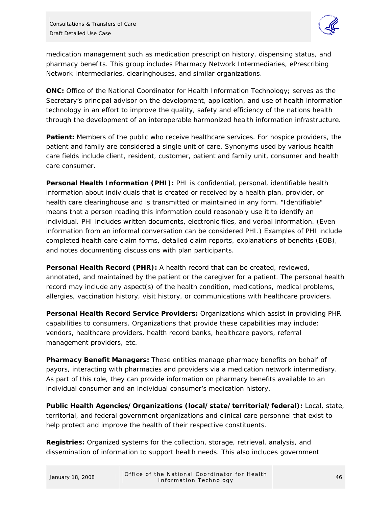

medication management such as medication prescription history, dispensing status, and pharmacy benefits. This group includes Pharmacy Network Intermediaries, ePrescribing Network Intermediaries, clearinghouses, and similar organizations.

**ONC:** Office of the National Coordinator for Health Information Technology; serves as the Secretary's principal advisor on the development, application, and use of health information technology in an effort to improve the quality, safety and efficiency of the nations health through the development of an interoperable harmonized health information infrastructure.

**Patient:** Members of the public who receive healthcare services. For hospice providers, the patient and family are considered a single unit of care. Synonyms used by various health care fields include client, resident, customer, patient and family unit, consumer and health care consumer.

**Personal Health Information (PHI):** PHI is confidential, personal, identifiable health information about individuals that is created or received by a health plan, provider, or health care clearinghouse and is transmitted or maintained in any form. "Identifiable" means that a person reading this information could reasonably use it to identify an individual. PHI includes written documents, electronic files, and verbal information. (Even information from an informal conversation can be considered PHI.) Examples of PHI include completed health care claim forms, detailed claim reports, explanations of benefits (EOB), and notes documenting discussions with plan participants.

**Personal Health Record (PHR):** A health record that can be created, reviewed, annotated, and maintained by the patient or the caregiver for a patient. The personal health record may include any aspect(s) of the health condition, medications, medical problems, allergies, vaccination history, visit history, or communications with healthcare providers.

**Personal Health Record Service Providers:** Organizations which assist in providing PHR capabilities to consumers. Organizations that provide these capabilities may include: vendors, healthcare providers, health record banks, healthcare payors, referral management providers, etc.

**Pharmacy Benefit Managers:** These entities manage pharmacy benefits on behalf of payors, interacting with pharmacies and providers via a medication network intermediary. As part of this role, they can provide information on pharmacy benefits available to an individual consumer and an individual consumer's medication history.

**Public Health Agencies/Organizations (local/state/territorial/federal):** Local, state, territorial, and federal government organizations and clinical care personnel that exist to help protect and improve the health of their respective constituents.

**Registries:** Organized systems for the collection, storage, retrieval, analysis, and dissemination of information to support health needs. This also includes government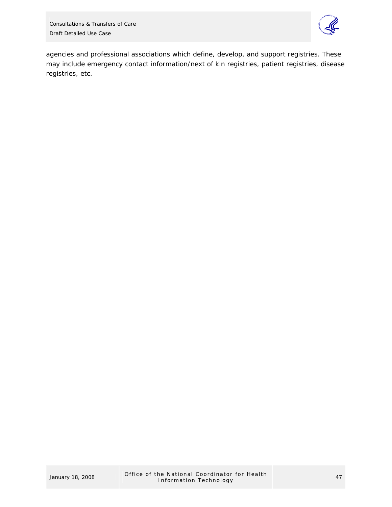

agencies and professional associations which define, develop, and support registries. These may include emergency contact information/next of kin registries, patient registries, disease registries, etc.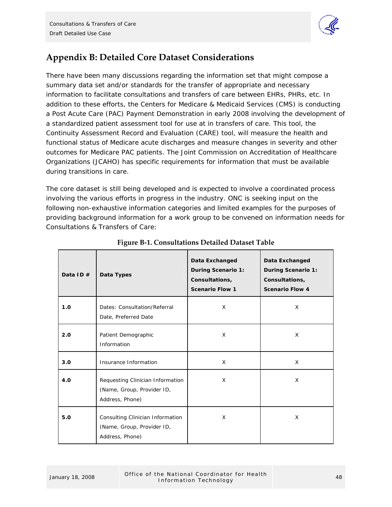

# <span id="page-47-0"></span>**Appendix B: Detailed Core Dataset Considerations**

There have been many discussions regarding the information set that might compose a summary data set and/or standards for the transfer of appropriate and necessary information to facilitate consultations and transfers of care between EHRs, PHRs, etc. In addition to these efforts, the Centers for Medicare & Medicaid Services (CMS) is conducting a Post Acute Care (PAC) Payment Demonstration in early 2008 involving the development of a standardized patient assessment tool for use at in transfers of care. This tool, the Continuity Assessment Record and Evaluation (CARE) tool, will measure the health and functional status of Medicare acute discharges and measure changes in severity and other outcomes for Medicare PAC patients. The Joint Commission on Accreditation of Healthcare Organizations (JCAHO) has specific requirements for information that must be available during transitions in care.

The core dataset is still being developed and is expected to involve a coordinated process involving the various efforts in progress in the industry. ONC is seeking input on the following non-exhaustive information categories and limited examples for the purposes of providing background information for a work group to be convened on information needs for Consultations & Transfers of Care:

| Data ID $#$ | Data Types                                                                        | Data Exchanged<br><b>During Scenario 1:</b><br>Consultations,<br><b>Scenario Flow 1</b> | Data Exchanged<br><b>During Scenario 1:</b><br>Consultations,<br><b>Scenario Flow 4</b> |
|-------------|-----------------------------------------------------------------------------------|-----------------------------------------------------------------------------------------|-----------------------------------------------------------------------------------------|
| 1.0         | Dates: Consultation/Referral<br>Date, Preferred Date                              | X                                                                                       | X                                                                                       |
| 2.0         | Patient Demographic<br>Information                                                | X                                                                                       | X                                                                                       |
| 3.0         | Insurance Information                                                             | X                                                                                       | $\times$                                                                                |
| 4.0         | Requesting Clinician Information<br>(Name, Group, Provider ID,<br>Address, Phone) | X                                                                                       | X                                                                                       |
| 5.0         | Consulting Clinician Information<br>(Name, Group, Provider ID,<br>Address, Phone) | X                                                                                       | X                                                                                       |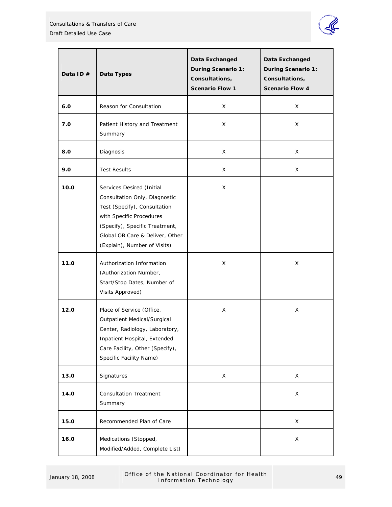

| Data ID $#$ | Data Types                                                                                                                                                                                                                  | Data Exchanged<br><b>During Scenario 1:</b><br>Consultations,<br><b>Scenario Flow 1</b> | Data Exchanged<br><b>During Scenario 1:</b><br>Consultations,<br><b>Scenario Flow 4</b> |
|-------------|-----------------------------------------------------------------------------------------------------------------------------------------------------------------------------------------------------------------------------|-----------------------------------------------------------------------------------------|-----------------------------------------------------------------------------------------|
| 6.0         | Reason for Consultation                                                                                                                                                                                                     | X.                                                                                      | X                                                                                       |
| 7.0         | Patient History and Treatment<br>Summary                                                                                                                                                                                    | X.                                                                                      | X                                                                                       |
| 8.0         | Diagnosis                                                                                                                                                                                                                   | X                                                                                       | X                                                                                       |
| 9.0         | <b>Test Results</b>                                                                                                                                                                                                         | X                                                                                       | X.                                                                                      |
| 10.0        | Services Desired (Initial<br>Consultation Only, Diagnostic<br>Test (Specify), Consultation<br>with Specific Procedures<br>(Specify), Specific Treatment,<br>Global OB Care & Deliver, Other<br>(Explain), Number of Visits) | X.                                                                                      |                                                                                         |
| 11.0        | Authorization Information<br>(Authorization Number,<br>Start/Stop Dates, Number of<br>Visits Approved)                                                                                                                      | X.                                                                                      | X.                                                                                      |
| 12.0        | Place of Service (Office,<br>Outpatient Medical/Surgical<br>Center, Radiology, Laboratory,<br>Inpatient Hospital, Extended<br>Care Facility, Other (Specify),<br>Specific Facility Name)                                    | X.                                                                                      | X                                                                                       |
| 13.0        | Signatures                                                                                                                                                                                                                  | X                                                                                       | X                                                                                       |
| 14.0        | <b>Consultation Treatment</b><br>Summary                                                                                                                                                                                    |                                                                                         | X                                                                                       |
| 15.0        | Recommended Plan of Care                                                                                                                                                                                                    |                                                                                         | X                                                                                       |
| 16.0        | Medications (Stopped,<br>Modified/Added, Complete List)                                                                                                                                                                     |                                                                                         | X                                                                                       |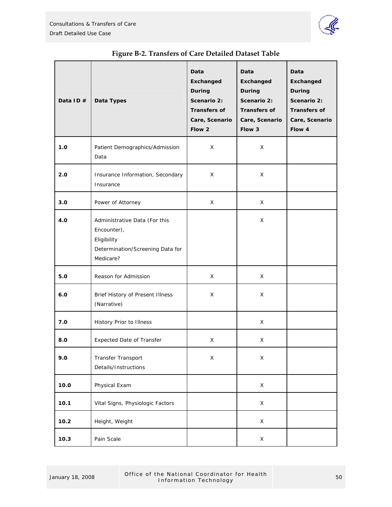

<span id="page-49-0"></span>

| Data ID# | Data Types                                                                                                   | Data<br>Exchanged<br>During<br>Scenario 2:<br><b>Transfers of</b><br>Care, Scenario<br>Flow 2 | Data<br>Exchanged<br>During<br>Scenario 2:<br><b>Transfers of</b><br>Care, Scenario<br>Flow 3 | Data<br><b>Exchanged</b><br>During<br>Scenario 2:<br><b>Transfers of</b><br>Care, Scenario<br>Flow 4 |
|----------|--------------------------------------------------------------------------------------------------------------|-----------------------------------------------------------------------------------------------|-----------------------------------------------------------------------------------------------|------------------------------------------------------------------------------------------------------|
| 1.0      | Patient Demographics/Admission<br>Data                                                                       | X                                                                                             | X                                                                                             |                                                                                                      |
| 2.0      | Insurance Information, Secondary<br>Insurance                                                                | X                                                                                             | X                                                                                             |                                                                                                      |
| 3.0      | Power of Attorney                                                                                            | X                                                                                             | X                                                                                             |                                                                                                      |
| 4.0      | Administrative Data (For this<br>Encounter),<br>Eligibility<br>Determination/Screening Data for<br>Medicare? |                                                                                               | X                                                                                             |                                                                                                      |
| 5.0      | Reason for Admission                                                                                         | X                                                                                             | X                                                                                             |                                                                                                      |
| 6.0      | Brief History of Present Illness<br>(Narrative)                                                              | X                                                                                             | X                                                                                             |                                                                                                      |
| 7.0      | History Prior to Illness                                                                                     |                                                                                               | X                                                                                             |                                                                                                      |
| 8.0      | <b>Expected Date of Transfer</b>                                                                             | X                                                                                             | X                                                                                             |                                                                                                      |
| 9.0      | Transfer Transport<br>Details/Instructions                                                                   | X                                                                                             | $\mathsf X$                                                                                   |                                                                                                      |
| 10.0     | Physical Exam                                                                                                |                                                                                               | X                                                                                             |                                                                                                      |
| 10.1     | Vital Signs, Physiologic Factors                                                                             |                                                                                               | $\mathsf X$                                                                                   |                                                                                                      |
| 10.2     | Height, Weight                                                                                               |                                                                                               | X                                                                                             |                                                                                                      |
| 10.3     | Pain Scale                                                                                                   |                                                                                               | X                                                                                             |                                                                                                      |

# **Figure B‐2. Transfers of Care Detailed Dataset Table**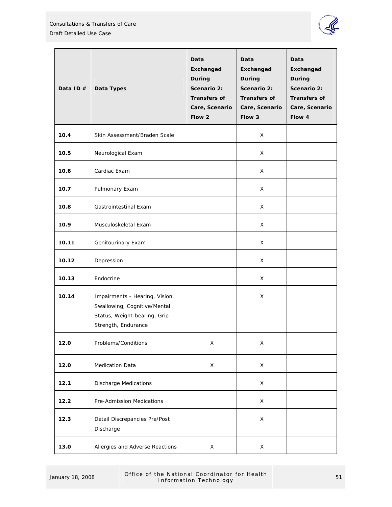

| Data ID $#$ | Data Types                                                                                                            | Data<br><b>Exchanged</b><br>During<br>Scenario 2:<br><b>Transfers of</b><br>Care, Scenario<br>Flow 2 | Data<br><b>Exchanged</b><br>During<br>Scenario 2:<br><b>Transfers of</b><br>Care, Scenario<br>Flow 3 | Data<br>Exchanged<br>During<br>Scenario 2:<br><b>Transfers of</b><br>Care, Scenario<br>Flow 4 |
|-------------|-----------------------------------------------------------------------------------------------------------------------|------------------------------------------------------------------------------------------------------|------------------------------------------------------------------------------------------------------|-----------------------------------------------------------------------------------------------|
| 10.4        | Skin Assessment/Braden Scale                                                                                          |                                                                                                      | X                                                                                                    |                                                                                               |
| 10.5        | Neurological Exam                                                                                                     |                                                                                                      | X                                                                                                    |                                                                                               |
| 10.6        | Cardiac Exam                                                                                                          |                                                                                                      | X                                                                                                    |                                                                                               |
| 10.7        | Pulmonary Exam                                                                                                        |                                                                                                      | X                                                                                                    |                                                                                               |
| 10.8        | Gastrointestinal Exam                                                                                                 |                                                                                                      | X                                                                                                    |                                                                                               |
| 10.9        | Musculoskeletal Exam                                                                                                  |                                                                                                      | X                                                                                                    |                                                                                               |
| 10.11       | Genitourinary Exam                                                                                                    |                                                                                                      | X                                                                                                    |                                                                                               |
| 10.12       | Depression                                                                                                            |                                                                                                      | X                                                                                                    |                                                                                               |
| 10.13       | Endocrine                                                                                                             |                                                                                                      | X                                                                                                    |                                                                                               |
| 10.14       | Impairments - Hearing, Vision,<br>Swallowing, Cognitive/Mental<br>Status, Weight-bearing, Grip<br>Strength, Endurance |                                                                                                      | X                                                                                                    |                                                                                               |
| 12.0        | Problems/Conditions                                                                                                   | X                                                                                                    | X                                                                                                    |                                                                                               |
| 12.0        | Medication Data                                                                                                       | X                                                                                                    | X                                                                                                    |                                                                                               |
| 12.1        | <b>Discharge Medications</b>                                                                                          |                                                                                                      | X                                                                                                    |                                                                                               |
| 12.2        | Pre-Admission Medications                                                                                             |                                                                                                      | X                                                                                                    |                                                                                               |
| 12.3        | Detail Discrepancies Pre/Post<br>Discharge                                                                            |                                                                                                      | X                                                                                                    |                                                                                               |
| 13.0        | Allergies and Adverse Reactions                                                                                       | X                                                                                                    | X                                                                                                    |                                                                                               |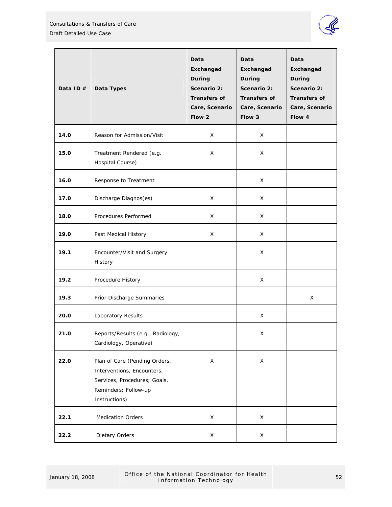

| Data ID $#$ | Data Types                                                                                                                           | Data<br><b>Exchanged</b><br>During<br>Scenario 2:<br><b>Transfers of</b><br>Care, Scenario<br>Flow 2 | Data<br>Exchanged<br>During<br>Scenario 2:<br><b>Transfers of</b><br>Care, Scenario<br>Flow 3 | Data<br><b>Exchanged</b><br>During<br>Scenario 2:<br><b>Transfers of</b><br>Care, Scenario<br>Flow 4 |
|-------------|--------------------------------------------------------------------------------------------------------------------------------------|------------------------------------------------------------------------------------------------------|-----------------------------------------------------------------------------------------------|------------------------------------------------------------------------------------------------------|
| 14.0        | Reason for Admission/Visit                                                                                                           | X                                                                                                    | X                                                                                             |                                                                                                      |
| 15.0        | Treatment Rendered (e.g.<br>Hospital Course)                                                                                         | X                                                                                                    | X                                                                                             |                                                                                                      |
| 16.0        | Response to Treatment                                                                                                                |                                                                                                      | X                                                                                             |                                                                                                      |
| 17.0        | Discharge Diagnos(es)                                                                                                                | X                                                                                                    | X                                                                                             |                                                                                                      |
| 18.0        | Procedures Performed                                                                                                                 | X                                                                                                    | X                                                                                             |                                                                                                      |
| 19.0        | Past Medical History                                                                                                                 | X                                                                                                    | X                                                                                             |                                                                                                      |
| 19.1        | Encounter/Visit and Surgery<br>History                                                                                               |                                                                                                      | X                                                                                             |                                                                                                      |
| 19.2        | Procedure History                                                                                                                    |                                                                                                      | X                                                                                             |                                                                                                      |
| 19.3        | Prior Discharge Summaries                                                                                                            |                                                                                                      |                                                                                               | X                                                                                                    |
| 20.0        | Laboratory Results                                                                                                                   |                                                                                                      | X                                                                                             |                                                                                                      |
| 21.0        | Reports/Results (e.g., Radiology,<br>Cardiology, Operative)                                                                          |                                                                                                      | X                                                                                             |                                                                                                      |
| 22.0        | Plan of Care (Pending Orders,<br>Interventions, Encounters,<br>Services, Procedures; Goals,<br>Reminders; Follow-up<br>Instructions) | $\mathsf X$                                                                                          | $\mathsf X$                                                                                   |                                                                                                      |
| 22.1        | <b>Medication Orders</b>                                                                                                             | X                                                                                                    | $\mathsf X$                                                                                   |                                                                                                      |
| 22.2        | Dietary Orders                                                                                                                       | X                                                                                                    | X                                                                                             |                                                                                                      |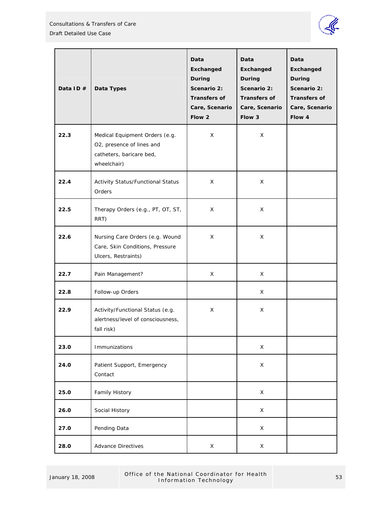

| Data ID $#$ | Data Types                                                                                             | Data<br>Exchanged<br>During<br>Scenario 2:<br><b>Transfers of</b><br>Care, Scenario<br>Flow 2 | Data<br>Exchanged<br>During<br>Scenario 2:<br><b>Transfers of</b><br>Care, Scenario<br>Flow 3 | Data<br>Exchanged<br>During<br>Scenario 2:<br><b>Transfers of</b><br>Care, Scenario<br>Flow 4 |
|-------------|--------------------------------------------------------------------------------------------------------|-----------------------------------------------------------------------------------------------|-----------------------------------------------------------------------------------------------|-----------------------------------------------------------------------------------------------|
| 22.3        | Medical Equipment Orders (e.g.<br>O2, presence of lines and<br>catheters, baricare bed,<br>wheelchair) | X                                                                                             | X                                                                                             |                                                                                               |
| 22.4        | Activity Status/Functional Status<br>Orders                                                            | X                                                                                             | X                                                                                             |                                                                                               |
| 22.5        | Therapy Orders (e.g., PT, OT, ST,<br>RRT)                                                              | X                                                                                             | X                                                                                             |                                                                                               |
| 22.6        | Nursing Care Orders (e.g. Wound<br>Care, Skin Conditions, Pressure<br>Ulcers, Restraints)              | X                                                                                             | X                                                                                             |                                                                                               |
| 22.7        | Pain Management?                                                                                       | X                                                                                             | X                                                                                             |                                                                                               |
| 22.8        | Follow-up Orders                                                                                       |                                                                                               | X                                                                                             |                                                                                               |
| 22.9        | Activity/Functional Status (e.g.<br>alertness/level of consciousness,<br>fall risk)                    | X                                                                                             | X                                                                                             |                                                                                               |
| 23.0        | Immunizations                                                                                          |                                                                                               | X                                                                                             |                                                                                               |
| 24.0        | Patient Support, Emergency<br>Contact                                                                  |                                                                                               | X                                                                                             |                                                                                               |
| 25.0        | <b>Family History</b>                                                                                  |                                                                                               | X                                                                                             |                                                                                               |
| 26.0        | Social History                                                                                         |                                                                                               | X                                                                                             |                                                                                               |
| 27.0        | Pending Data                                                                                           |                                                                                               | X                                                                                             |                                                                                               |
| 28.0        | <b>Advance Directives</b>                                                                              | X                                                                                             | X                                                                                             |                                                                                               |